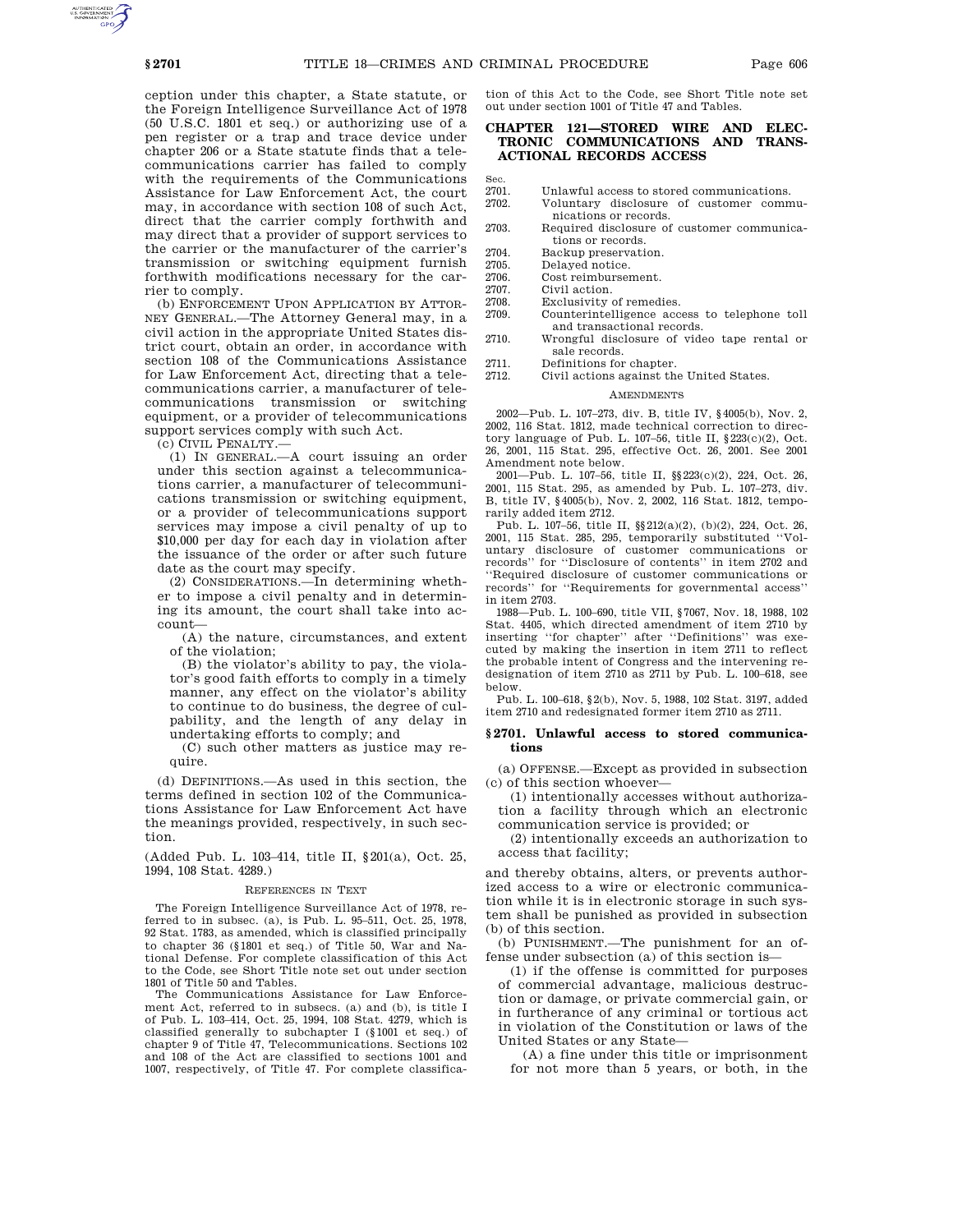ception under this chapter, a State statute, or the Foreign Intelligence Surveillance Act of 1978 (50 U.S.C. 1801 et seq.) or authorizing use of a pen register or a trap and trace device under chapter 206 or a State statute finds that a telecommunications carrier has failed to comply with the requirements of the Communications Assistance for Law Enforcement Act, the court may, in accordance with section 108 of such Act, direct that the carrier comply forthwith and may direct that a provider of support services to the carrier or the manufacturer of the carrier's transmission or switching equipment furnish forthwith modifications necessary for the carrier to comply.

(b) ENFORCEMENT UPON APPLICATION BY ATTOR-NEY GENERAL.—The Attorney General may, in a civil action in the appropriate United States district court, obtain an order, in accordance with section 108 of the Communications Assistance for Law Enforcement Act, directing that a telecommunications carrier, a manufacturer of telecommunications transmission or switching equipment, or a provider of telecommunications support services comply with such Act.

(c) CIVIL PENALTY.—

(1) IN GENERAL.—A court issuing an order under this section against a telecommunications carrier, a manufacturer of telecommunications transmission or switching equipment, or a provider of telecommunications support services may impose a civil penalty of up to \$10,000 per day for each day in violation after the issuance of the order or after such future date as the court may specify.

(2) CONSIDERATIONS.—In determining whether to impose a civil penalty and in determining its amount, the court shall take into account—

(A) the nature, circumstances, and extent of the violation;

(B) the violator's ability to pay, the violator's good faith efforts to comply in a timely manner, any effect on the violator's ability to continue to do business, the degree of culpability, and the length of any delay in undertaking efforts to comply; and

(C) such other matters as justice may require.

(d) DEFINITIONS.—As used in this section, the terms defined in section 102 of the Communications Assistance for Law Enforcement Act have the meanings provided, respectively, in such section.

(Added Pub. L. 103–414, title II, §201(a), Oct. 25, 1994, 108 Stat. 4289.)

### REFERENCES IN TEXT

The Foreign Intelligence Surveillance Act of 1978, referred to in subsec. (a), is Pub. L. 95–511, Oct. 25, 1978, 92 Stat. 1783, as amended, which is classified principally to chapter 36 (§1801 et seq.) of Title 50, War and National Defense. For complete classification of this Act to the Code, see Short Title note set out under section 1801 of Title 50 and Tables.

The Communications Assistance for Law Enforcement Act, referred to in subsecs. (a) and (b), is title I of Pub. L. 103–414, Oct. 25, 1994, 108 Stat. 4279, which is classified generally to subchapter I (§1001 et seq.) of chapter 9 of Title 47, Telecommunications. Sections 102 and 108 of the Act are classified to sections 1001 and 1007, respectively, of Title 47. For complete classification of this Act to the Code, see Short Title note set out under section 1001 of Title 47 and Tables.

## **CHAPTER 121—STORED WIRE AND ELEC-TRONIC COMMUNICATIONS AND TRANS-ACTIONAL RECORDS ACCESS**

Sec.

- 2701. Unlawful access to stored communications.<br>2702. Voluntary disclosure of customer comm
- 2702. Voluntary disclosure of customer communications or records.
- 2703. Required disclosure of customer communications or records.
- 2704. Backup preservation.<br>2705 Delayed notice Delayed notice.
- 2706. Cost reimbursement.
- 2707. Civil action.
- 2708. Exclusivity of remedies.
- 2709. Counterintelligence access to telephone toll and transactional records.
- 2710. Wrongful disclosure of video tape rental or sale records.
- 2711. Definitions for chapter.<br>2712 Civil actions against the
	- Civil actions against the United States.

### **AMENDMENTS**

2002—Pub. L. 107–273, div. B, title IV, §4005(b), Nov. 2, 2002, 116 Stat. 1812, made technical correction to directory language of Pub. L. 107–56, title II, §223(c)(2), Oct. 26, 2001, 115 Stat. 295, effective Oct. 26, 2001. See 2001 Amendment note below.

2001—Pub. L. 107–56, title II, §§223(c)(2), 224, Oct. 26, 2001, 115 Stat. 295, as amended by Pub. L. 107–273, div. B, title IV, §4005(b), Nov. 2, 2002, 116 Stat. 1812, temporarily added item 2712.

Pub. L. 107–56, title II, §§212(a)(2), (b)(2), 224, Oct. 26, 2001, 115 Stat. 285, 295, temporarily substituted ''Voluntary disclosure of customer communications or records'' for ''Disclosure of contents'' in item 2702 and ''Required disclosure of customer communications or records'' for ''Requirements for governmental access'' in item 2703.

1988—Pub. L. 100–690, title VII, §7067, Nov. 18, 1988, 102 Stat. 4405, which directed amendment of item 2710 by inserting ''for chapter'' after ''Definitions'' was executed by making the insertion in item 2711 to reflect the probable intent of Congress and the intervening redesignation of item 2710 as 2711 by Pub. L. 100–618, see below.

Pub. L. 100–618, §2(b), Nov. 5, 1988, 102 Stat. 3197, added item 2710 and redesignated former item 2710 as 2711.

### **§ 2701. Unlawful access to stored communications**

(a) OFFENSE.—Except as provided in subsection (c) of this section whoever—

(1) intentionally accesses without authorization a facility through which an electronic communication service is provided; or

(2) intentionally exceeds an authorization to access that facility;

and thereby obtains, alters, or prevents authorized access to a wire or electronic communication while it is in electronic storage in such system shall be punished as provided in subsection (b) of this section.

(b) PUNISHMENT.—The punishment for an offense under subsection (a) of this section is—

(1) if the offense is committed for purposes of commercial advantage, malicious destruction or damage, or private commercial gain, or in furtherance of any criminal or tortious act in violation of the Constitution or laws of the United States or any State—

(A) a fine under this title or imprisonment for not more than 5 years, or both, in the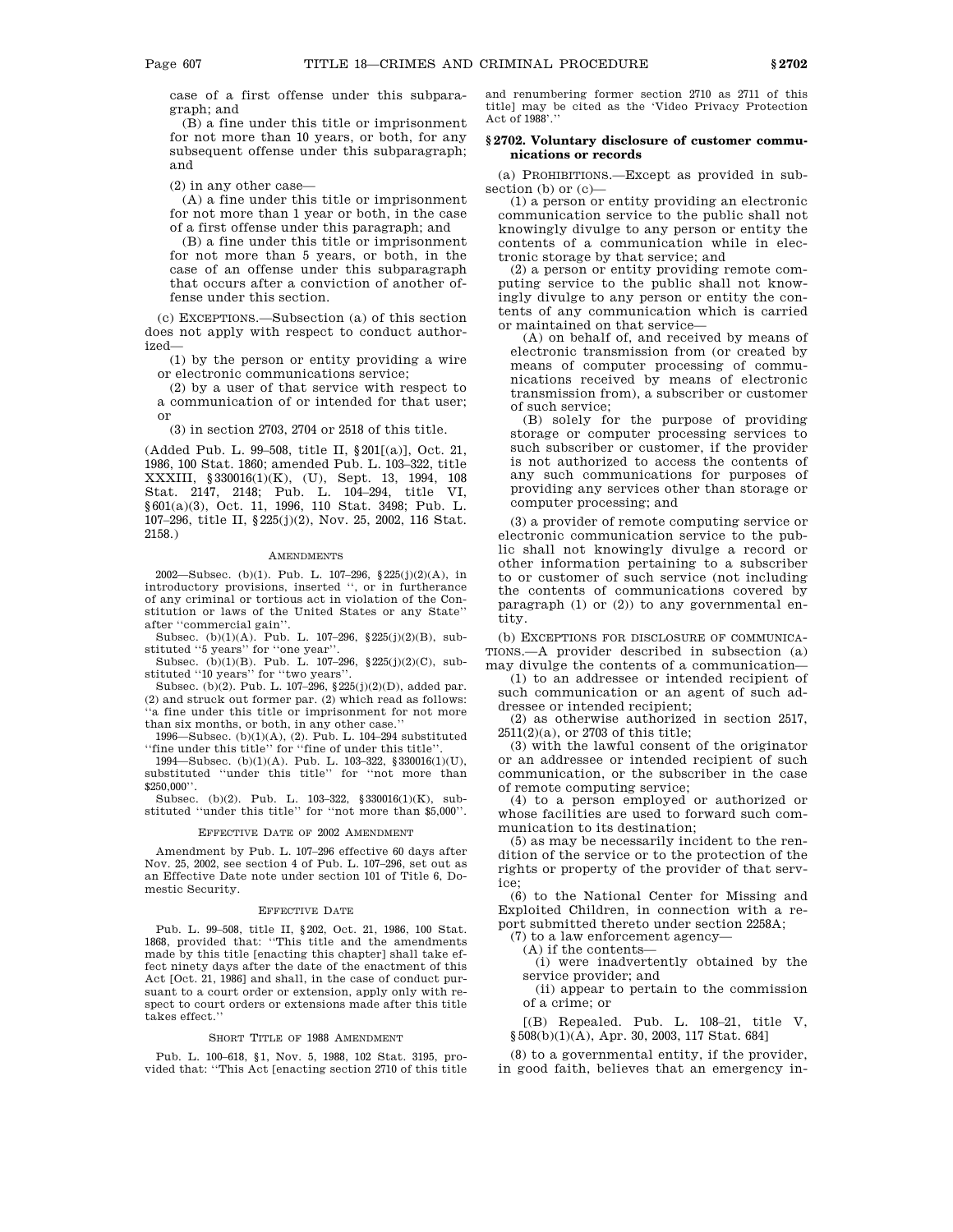case of a first offense under this subparagraph; and

(B) a fine under this title or imprisonment for not more than 10 years, or both, for any subsequent offense under this subparagraph; and

(2) in any other case—

(A) a fine under this title or imprisonment for not more than 1 year or both, in the case of a first offense under this paragraph; and

(B) a fine under this title or imprisonment for not more than 5 years, or both, in the case of an offense under this subparagraph that occurs after a conviction of another offense under this section.

(c) EXCEPTIONS.—Subsection (a) of this section does not apply with respect to conduct authorized—

(1) by the person or entity providing a wire or electronic communications service;

(2) by a user of that service with respect to a communication of or intended for that user; or

(3) in section 2703, 2704 or 2518 of this title.

(Added Pub. L. 99–508, title II, §201[(a)], Oct. 21, 1986, 100 Stat. 1860; amended Pub. L. 103–322, title XXXIII, §330016(1)(K), (U), Sept. 13, 1994, 108 Stat. 2147, 2148; Pub. L. 104–294, title VI, §601(a)(3), Oct. 11, 1996, 110 Stat. 3498; Pub. L. 107–296, title II, §225(j)(2), Nov. 25, 2002, 116 Stat. 2158.)

### AMENDMENTS

2002—Subsec. (b)(1). Pub. L. 107–296, §225(j)(2)(A), in introductory provisions, inserted '', or in furtherance of any criminal or tortious act in violation of the Constitution or laws of the United States or any State'' after ''commercial gain''.

Subsec. (b)(1)(A). Pub. L. 107–296, §225(j)(2)(B), substituted "5 years" for "one year".

Subsec. (b)(1)(B). Pub. L. 107–296, §225(j)(2)(C), substituted ''10 years'' for ''two years''.

Subsec. (b)(2). Pub. L. 107–296, §225(j)(2)(D), added par. (2) and struck out former par. (2) which read as follows: 'a fine under this title or imprisonment for not more than six months, or both, in any other case.

1996—Subsec. (b)(1)(A), (2). Pub. L. 104–294 substituted ''fine under this title'' for ''fine of under this title''.

1994—Subsec. (b)(1)(A). Pub. L. 103–322, §330016(1)(U), substituted ''under this title'' for ''not more than  $$250,000"$ 

Subsec. (b)(2). Pub. L. 103–322, §330016(1)(K), substituted ''under this title'' for ''not more than \$5,000''.

#### EFFECTIVE DATE OF 2002 AMENDMENT

Amendment by Pub. L. 107–296 effective 60 days after Nov. 25, 2002, see section 4 of Pub. L. 107–296, set out as an Effective Date note under section 101 of Title 6, Domestic Security.

#### EFFECTIVE DATE

Pub. L. 99–508, title II, §202, Oct. 21, 1986, 100 Stat. 1868, provided that: ''This title and the amendments made by this title [enacting this chapter] shall take effect ninety days after the date of the enactment of this Act [Oct. 21, 1986] and shall, in the case of conduct pursuant to a court order or extension, apply only with respect to court orders or extensions made after this title takes effect.''

#### SHORT TITLE OF 1988 AMENDMENT

Pub. L. 100–618, §1, Nov. 5, 1988, 102 Stat. 3195, provided that: ''This Act [enacting section 2710 of this title and renumbering former section 2710 as 2711 of this title] may be cited as the 'Video Privacy Protection Act of 1988'.''

## **§ 2702. Voluntary disclosure of customer communications or records**

(a) PROHIBITIONS.—Except as provided in subsection  $(b)$  or  $(c)$ —

(1) a person or entity providing an electronic communication service to the public shall not knowingly divulge to any person or entity the contents of a communication while in electronic storage by that service; and

(2) a person or entity providing remote computing service to the public shall not knowingly divulge to any person or entity the contents of any communication which is carried or maintained on that service—

(A) on behalf of, and received by means of electronic transmission from (or created by means of computer processing of communications received by means of electronic transmission from), a subscriber or customer of such service;

(B) solely for the purpose of providing storage or computer processing services to such subscriber or customer, if the provider is not authorized to access the contents of any such communications for purposes of providing any services other than storage or computer processing; and

(3) a provider of remote computing service or electronic communication service to the public shall not knowingly divulge a record or other information pertaining to a subscriber to or customer of such service (not including the contents of communications covered by paragraph (1) or (2)) to any governmental entity.

(b) EXCEPTIONS FOR DISCLOSURE OF COMMUNICA-TIONS.—A provider described in subsection (a) may divulge the contents of a communication—

(1) to an addressee or intended recipient of such communication or an agent of such addressee or intended recipient;

(2) as otherwise authorized in section 2517, 2511(2)(a), or 2703 of this title;

(3) with the lawful consent of the originator or an addressee or intended recipient of such communication, or the subscriber in the case of remote computing service;

(4) to a person employed or authorized or whose facilities are used to forward such communication to its destination;

(5) as may be necessarily incident to the rendition of the service or to the protection of the rights or property of the provider of that service;

(6) to the National Center for Missing and Exploited Children, in connection with a report submitted thereto under section 2258A;

(7) to a law enforcement agency—

(A) if the contents—

(i) were inadvertently obtained by the service provider; and

(ii) appear to pertain to the commission of a crime; or

[(B) Repealed. Pub. L. 108–21, title V, §508(b)(1)(A), Apr. 30, 2003, 117 Stat. 684]

(8) to a governmental entity, if the provider, in good faith, believes that an emergency in-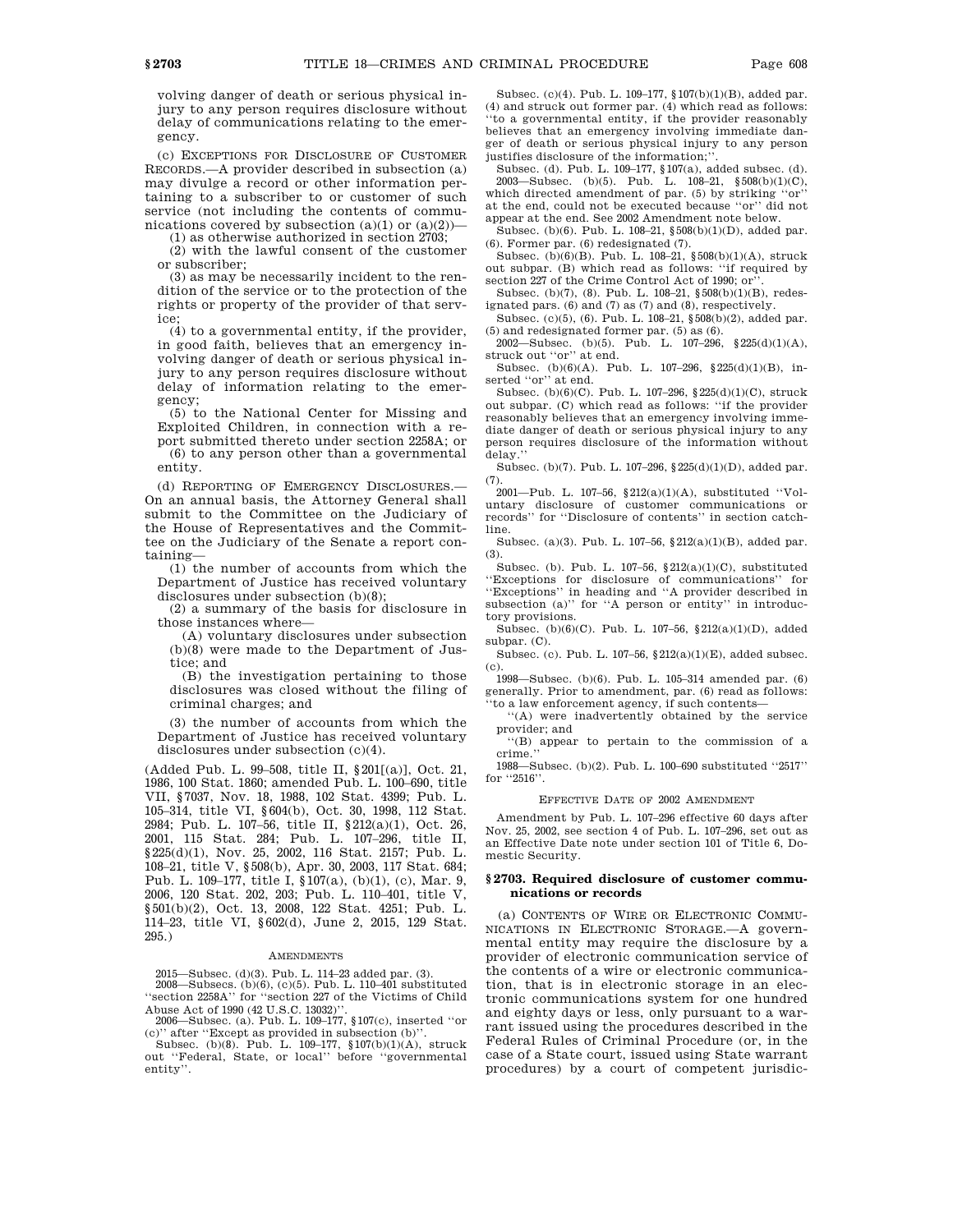volving danger of death or serious physical injury to any person requires disclosure without delay of communications relating to the emergency.

(c) EXCEPTIONS FOR DISCLOSURE OF CUSTOMER RECORDS.—A provider described in subsection (a) may divulge a record or other information pertaining to a subscriber to or customer of such service (not including the contents of communications covered by subsection  $(a)(1)$  or  $(a)(2)$ )

(1) as otherwise authorized in section 2703;

(2) with the lawful consent of the customer or subscriber;

(3) as may be necessarily incident to the rendition of the service or to the protection of the rights or property of the provider of that service;

(4) to a governmental entity, if the provider, in good faith, believes that an emergency involving danger of death or serious physical injury to any person requires disclosure without delay of information relating to the emergency;

(5) to the National Center for Missing and Exploited Children, in connection with a report submitted thereto under section 2258A; or

(6) to any person other than a governmental entity.

(d) REPORTING OF EMERGENCY DISCLOSURES.— On an annual basis, the Attorney General shall submit to the Committee on the Judiciary of the House of Representatives and the Committee on the Judiciary of the Senate a report containing—

(1) the number of accounts from which the Department of Justice has received voluntary disclosures under subsection (b)(8);

(2) a summary of the basis for disclosure in those instances where—

(A) voluntary disclosures under subsection (b)(8) were made to the Department of Justice; and

(B) the investigation pertaining to those disclosures was closed without the filing of criminal charges; and

(3) the number of accounts from which the Department of Justice has received voluntary disclosures under subsection (c)(4).

(Added Pub. L. 99–508, title II, §201[(a)], Oct. 21, 1986, 100 Stat. 1860; amended Pub. L. 100–690, title VII, §7037, Nov. 18, 1988, 102 Stat. 4399; Pub. L. 105–314, title VI, §604(b), Oct. 30, 1998, 112 Stat. 2984; Pub. L. 107–56, title II, §212(a)(1), Oct. 26, 2001, 115 Stat. 284; Pub. L. 107–296, title II,  $$225(d)(1), Nov. 25, 2002, 116 Stat. 2157; Pub. L.$ 108–21, title V, §508(b), Apr. 30, 2003, 117 Stat. 684; Pub. L. 109–177, title I, §107(a), (b)(1), (c), Mar. 9, 2006, 120 Stat. 202, 203; Pub. L. 110–401, title V, §501(b)(2), Oct. 13, 2008, 122 Stat. 4251; Pub. L. 114–23, title VI, §602(d), June 2, 2015, 129 Stat. 295.)

#### **AMENDMENTS**

2015—Subsec. (d)(3). Pub. L. 114–23 added par. (3).

2008—Subsecs. (b)(6), (c)(5). Pub. L. 110–401 substituted ''section 2258A'' for ''section 227 of the Victims of Child Abuse Act of 1990 (42 U.S.C. 13032)''.

2006—Subsec. (a). Pub. L. 109–177, §107(c), inserted ''or (c)'' after ''Except as provided in subsection (b)''.

Subsec. (b)(8). Pub. L. 109–177, §107(b)(1)(A), struck out ''Federal, State, or local'' before ''governmental entity''.

Subsec. (c)(4). Pub. L. 109–177, §107(b)(1)(B), added par. (4) and struck out former par. (4) which read as follows: ''to a governmental entity, if the provider reasonably believes that an emergency involving immediate danger of death or serious physical injury to any person justifies disclosure of the information;

Subsec. (d). Pub. L. 109–177, §107(a), added subsec. (d). 2003—Subsec. (b)(5). Pub. L.  $108-21$ ,  $\S 508(b)(1)(C)$ , which directed amendment of par. (5) by striking ''or'' at the end, could not be executed because ''or'' did not appear at the end. See 2002 Amendment note below.

Subsec. (b)(6). Pub. L. 108–21, §508(b)(1)(D), added par. (6). Former par. (6) redesignated (7).

Subsec. (b)(6)(B). Pub. L. 108–21,  $\S~508(\mathrm{b})(1)(\mathrm{A}),$  struck out subpar. (B) which read as follows: "if required by section 227 of the Crime Control Act of 1990; or".

Subsec. (b)(7), (8). Pub. L. 108–21, §508(b)(1)(B), redesignated pars. (6) and (7) as (7) and (8), respectively.

Subsec. (c)(5), (6). Pub. L. 108–21, §508(b)(2), added par. (5) and redesignated former par. (5) as (6).

2002—Subsec. (b)(5). Pub. L.  $107-296$ ,  $225(d)(1)(A)$ , struck out ''or'' at end.

Subsec. (b)(6)(A). Pub. L. 107-296,  $§225(d)(1)(B)$ , inserted ''or'' at end.

Subsec. (b)(6)(C). Pub. L. 107–296, §225(d)(1)(C), struck out subpar. (C) which read as follows: ''if the provider reasonably believes that an emergency involving immediate danger of death or serious physical injury to any person requires disclosure of the information without delay.'

Subsec. (b)(7). Pub. L. 107–296, §225(d)(1)(D), added par. (7).

2001—Pub. L. 107–56, §212(a)(1)(A), substituted ''Voluntary disclosure of customer communications or records'' for ''Disclosure of contents'' in section catchline.

Subsec. (a)(3). Pub. L. 107–56, §212(a)(1)(B), added par. (3).

Subsec. (b). Pub. L. 107–56, §212(a)(1)(C), substituted ''Exceptions for disclosure of communications'' for ''Exceptions'' in heading and ''A provider described in subsection (a)" for "A person or entity" in introductory provisions.

Subsec. (b)(6)(C). Pub. L. 107–56, §212(a)(1)(D), added subpar. (C).

Subsec. (c). Pub. L. 107–56, §212(a)(1)(E), added subsec.  $\left( \mathrm{c}\right)$ 

1998—Subsec. (b)(6). Pub. L. 105–314 amended par. (6) generally. Prior to amendment, par. (6) read as follows:

''to a law enforcement agency, if such contents— ''(A) were inadvertently obtained by the service

provider; and ''(B) appear to pertain to the commission of a crime.

1988—Subsec. (b)(2). Pub. L. 100–690 substituted ''2517'' for ''2516''.

#### EFFECTIVE DATE OF 2002 AMENDMENT

Amendment by Pub. L. 107–296 effective 60 days after Nov. 25, 2002, see section 4 of Pub. L. 107–296, set out as an Effective Date note under section 101 of Title 6, Domestic Security.

### **§ 2703. Required disclosure of customer communications or records**

(a) CONTENTS OF WIRE OR ELECTRONIC COMMU-NICATIONS IN ELECTRONIC STORAGE.—A governmental entity may require the disclosure by a provider of electronic communication service of the contents of a wire or electronic communication, that is in electronic storage in an electronic communications system for one hundred and eighty days or less, only pursuant to a warrant issued using the procedures described in the Federal Rules of Criminal Procedure (or, in the case of a State court, issued using State warrant procedures) by a court of competent jurisdic-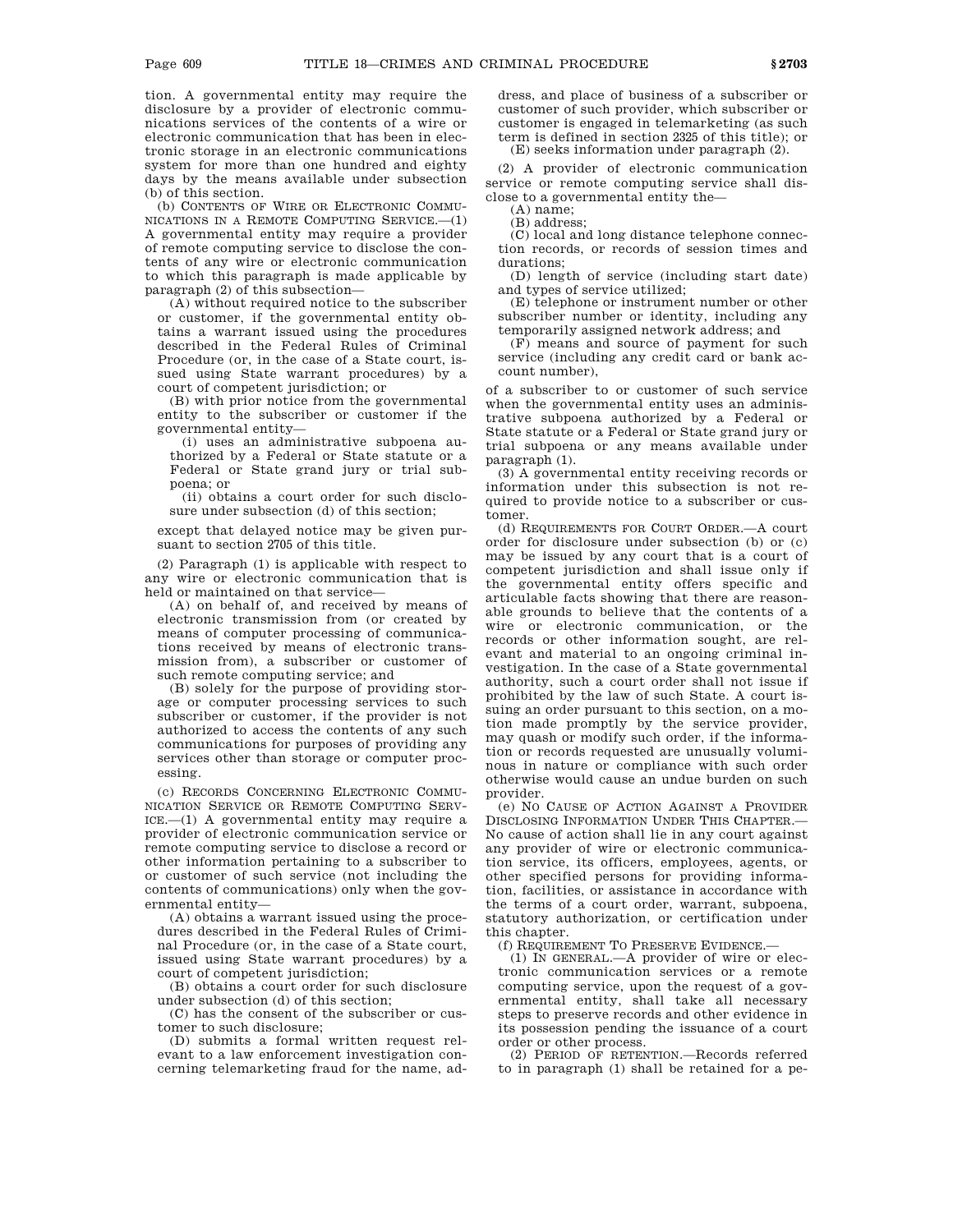tion. A governmental entity may require the disclosure by a provider of electronic communications services of the contents of a wire or electronic communication that has been in electronic storage in an electronic communications system for more than one hundred and eighty days by the means available under subsection (b) of this section.

(b) CONTENTS OF WIRE OR ELECTRONIC COMMU-NICATIONS IN A REMOTE COMPUTING SERVICE.—(1) A governmental entity may require a provider of remote computing service to disclose the contents of any wire or electronic communication to which this paragraph is made applicable by paragraph (2) of this subsection—

(A) without required notice to the subscriber or customer, if the governmental entity obtains a warrant issued using the procedures described in the Federal Rules of Criminal Procedure (or, in the case of a State court, issued using State warrant procedures) by a court of competent jurisdiction; or

(B) with prior notice from the governmental entity to the subscriber or customer if the governmental entity—

(i) uses an administrative subpoena authorized by a Federal or State statute or a Federal or State grand jury or trial subpoena; or

(ii) obtains a court order for such disclosure under subsection (d) of this section;

except that delayed notice may be given pursuant to section 2705 of this title.

(2) Paragraph (1) is applicable with respect to any wire or electronic communication that is held or maintained on that service—

(A) on behalf of, and received by means of electronic transmission from (or created by means of computer processing of communications received by means of electronic transmission from), a subscriber or customer of such remote computing service; and

(B) solely for the purpose of providing storage or computer processing services to such subscriber or customer, if the provider is not authorized to access the contents of any such communications for purposes of providing any services other than storage or computer processing.

(c) RECORDS CONCERNING ELECTRONIC COMMU-NICATION SERVICE OR REMOTE COMPUTING SERV-ICE.—(1) A governmental entity may require a provider of electronic communication service or remote computing service to disclose a record or other information pertaining to a subscriber to or customer of such service (not including the contents of communications) only when the governmental entity—

(A) obtains a warrant issued using the procedures described in the Federal Rules of Criminal Procedure (or, in the case of a State court, issued using State warrant procedures) by a court of competent jurisdiction;

(B) obtains a court order for such disclosure under subsection (d) of this section;

(C) has the consent of the subscriber or customer to such disclosure;

(D) submits a formal written request relevant to a law enforcement investigation concerning telemarketing fraud for the name, address, and place of business of a subscriber or customer of such provider, which subscriber or customer is engaged in telemarketing (as such term is defined in section 2325 of this title); or

(E) seeks information under paragraph (2).

(2) A provider of electronic communication service or remote computing service shall disclose to a governmental entity the—

(A) name;

(B) address;

 $(C)$  local and long distance telephone connection records, or records of session times and durations;

(D) length of service (including start date) and types of service utilized;

(E) telephone or instrument number or other subscriber number or identity, including any temporarily assigned network address; and

(F) means and source of payment for such service (including any credit card or bank account number),

of a subscriber to or customer of such service when the governmental entity uses an administrative subpoena authorized by a Federal or State statute or a Federal or State grand jury or trial subpoena or any means available under paragraph (1).

(3) A governmental entity receiving records or information under this subsection is not required to provide notice to a subscriber or customer.

(d) REQUIREMENTS FOR COURT ORDER.—A court order for disclosure under subsection (b) or (c) may be issued by any court that is a court of competent jurisdiction and shall issue only if the governmental entity offers specific and articulable facts showing that there are reasonable grounds to believe that the contents of a wire or electronic communication, or the records or other information sought, are relevant and material to an ongoing criminal investigation. In the case of a State governmental authority, such a court order shall not issue if prohibited by the law of such State. A court issuing an order pursuant to this section, on a motion made promptly by the service provider, may quash or modify such order, if the information or records requested are unusually voluminous in nature or compliance with such order otherwise would cause an undue burden on such provider.

(e) NO CAUSE OF ACTION AGAINST A PROVIDER DISCLOSING INFORMATION UNDER THIS CHAPTER.— No cause of action shall lie in any court against any provider of wire or electronic communication service, its officers, employees, agents, or other specified persons for providing information, facilities, or assistance in accordance with the terms of a court order, warrant, subpoena, statutory authorization, or certification under this chapter.

(f) REQUIREMENT TO PRESERVE EVIDENCE.—

(1) IN GENERAL.—A provider of wire or electronic communication services or a remote computing service, upon the request of a governmental entity, shall take all necessary steps to preserve records and other evidence in its possession pending the issuance of a court order or other process.

(2) PERIOD OF RETENTION.—Records referred to in paragraph (1) shall be retained for a pe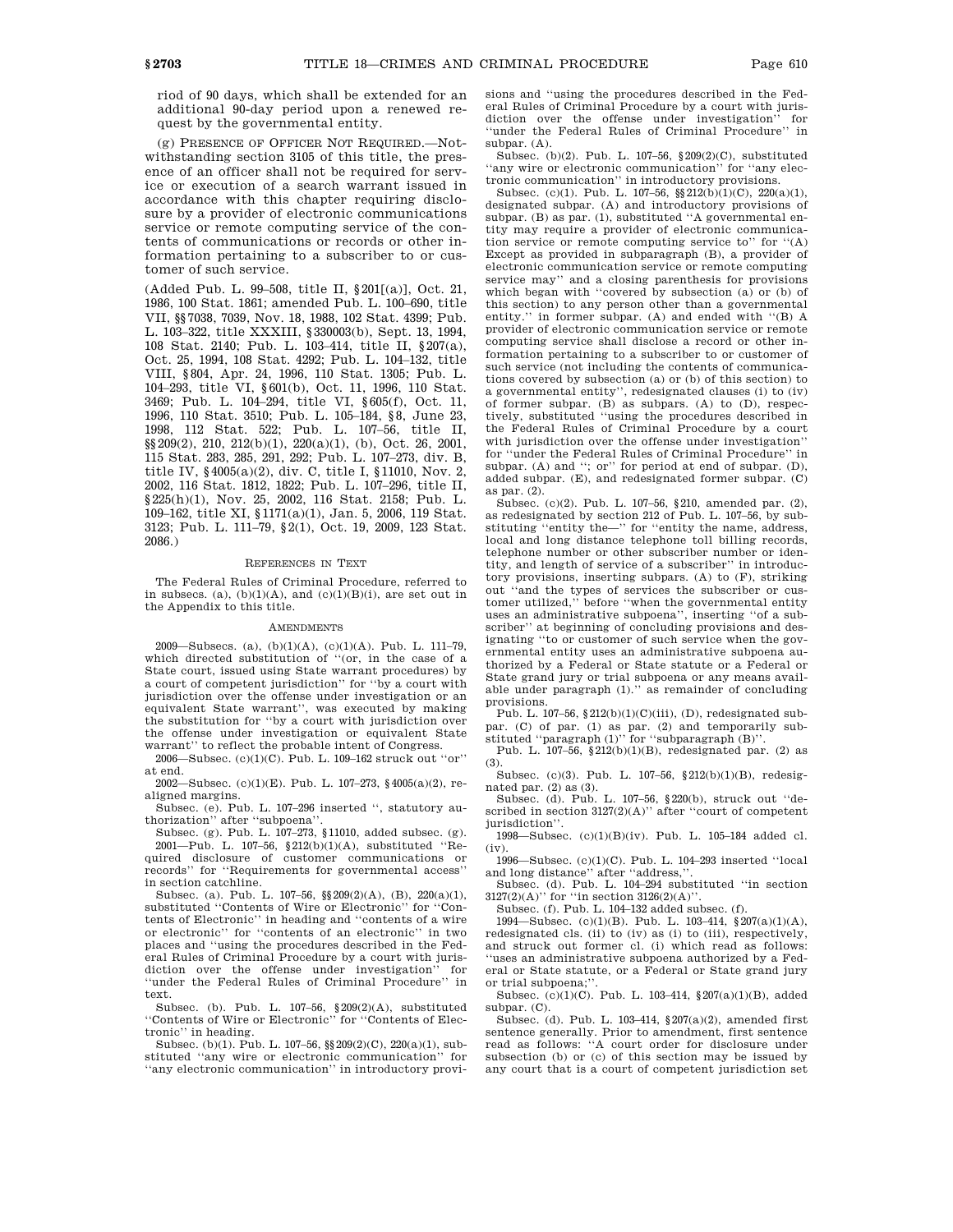riod of 90 days, which shall be extended for an additional 90-day period upon a renewed request by the governmental entity.

(g) PRESENCE OF OFFICER NOT REQUIRED.—Notwithstanding section 3105 of this title, the presence of an officer shall not be required for service or execution of a search warrant issued in accordance with this chapter requiring disclosure by a provider of electronic communications service or remote computing service of the contents of communications or records or other information pertaining to a subscriber to or customer of such service.

(Added Pub. L. 99–508, title II, §201[(a)], Oct. 21, 1986, 100 Stat. 1861; amended Pub. L. 100–690, title VII, §§7038, 7039, Nov. 18, 1988, 102 Stat. 4399; Pub. L. 103–322, title XXXIII, §330003(b), Sept. 13, 1994, 108 Stat. 2140; Pub. L. 103–414, title II, §207(a), Oct. 25, 1994, 108 Stat. 4292; Pub. L. 104–132, title VIII, §804, Apr. 24, 1996, 110 Stat. 1305; Pub. L. 104–293, title VI, §601(b), Oct. 11, 1996, 110 Stat. 3469; Pub. L. 104–294, title VI, §605(f), Oct. 11, 1996, 110 Stat. 3510; Pub. L. 105–184, §8, June 23, 1998, 112 Stat. 522; Pub. L. 107–56, title II, §§209(2), 210, 212(b)(1), 220(a)(1), (b), Oct. 26, 2001, 115 Stat. 283, 285, 291, 292; Pub. L. 107–273, div. B, title IV, §4005(a)(2), div. C, title I, §11010, Nov. 2, 2002, 116 Stat. 1812, 1822; Pub. L. 107–296, title II, §225(h)(1), Nov. 25, 2002, 116 Stat. 2158; Pub. L. 109–162, title XI, §1171(a)(1), Jan. 5, 2006, 119 Stat. 3123; Pub. L. 111–79, §2(1), Oct. 19, 2009, 123 Stat. 2086.)

#### REFERENCES IN TEXT

The Federal Rules of Criminal Procedure, referred to in subsecs. (a),  $(b)(1)(A)$ , and  $(c)(1)(B)(i)$ , are set out in the Appendix to this title.

#### **AMENDMENTS**

2009—Subsecs. (a), (b)(1)(A), (c)(1)(A). Pub. L. 111–79, which directed substitution of ''(or, in the case of a State court, issued using State warrant procedures) by a court of competent jurisdiction'' for ''by a court with jurisdiction over the offense under investigation or an equivalent State warrant'', was executed by making the substitution for ''by a court with jurisdiction over the offense under investigation or equivalent State warrant'' to reflect the probable intent of Congress.

2006—Subsec. (c)(1)(C). Pub. L. 109–162 struck out ''or'' at end.

2002—Subsec. (c)(1)(E). Pub. L. 107–273, §4005(a)(2), realigned margins.

Subsec. (e). Pub. L. 107–296 inserted '', statutory authorization'' after ''subpoena''.

Subsec. (g). Pub. L. 107–273, §11010, added subsec. (g). 2001—Pub. L. 107–56, §212(b)(1)(A), substituted ''Required disclosure of customer communications or records'' for ''Requirements for governmental access'' in section catchline.

Subsec. (a). Pub. L. 107–56, §§209(2)(A), (B), 220(a)(1), substituted ''Contents of Wire or Electronic'' for ''Contents of Electronic'' in heading and ''contents of a wire or electronic'' for ''contents of an electronic'' in two places and ''using the procedures described in the Federal Rules of Criminal Procedure by a court with jurisdiction over the offense under investigation'' for ''under the Federal Rules of Criminal Procedure'' in text.

Subsec. (b). Pub. L. 107–56, §209(2)(A), substituted ''Contents of Wire or Electronic'' for ''Contents of Electronic'' in heading.

Subsec. (b)(1). Pub. L. 107–56,  $\S$ 209(2)(C), 220(a)(1), substituted "any wire or electronic communication" for ''any electronic communication'' in introductory provisions and ''using the procedures described in the Federal Rules of Criminal Procedure by a court with jurisdiction over the offense under investigation" ''under the Federal Rules of Criminal Procedure'' in subpar. (A).

Subsec. (b)(2). Pub. L. 107–56, §209(2)(C), substituted ''any wire or electronic communication'' for ''any electronic communication'' in introductory provisions.

Subsec. (c)(1). Pub. L. 107–56, §§212(b)(1)(C), 220(a)(1), designated subpar. (A) and introductory provisions of subpar. (B) as par. (1), substituted ''A governmental entity may require a provider of electronic communication service or remote computing service to'' for ''(A) Except as provided in subparagraph (B), a provider of electronic communication service or remote computing service may'' and a closing parenthesis for provisions which began with "covered by subsection (a) or (b) of this section) to any person other than a governmental entity.'' in former subpar. (A) and ended with ''(B) A provider of electronic communication service or remote computing service shall disclose a record or other information pertaining to a subscriber to or customer of such service (not including the contents of communications covered by subsection (a) or (b) of this section) to a governmental entity'', redesignated clauses (i) to (iv) of former subpar. (B) as subpars. (A) to (D), respectively, substituted ''using the procedures described in the Federal Rules of Criminal Procedure by a court with jurisdiction over the offense under investigation'' for ''under the Federal Rules of Criminal Procedure'' in subpar. (A) and ''; or'' for period at end of subpar. (D), added subpar. (E), and redesignated former subpar. (C) as par. (2).

Subsec. (c)(2). Pub. L. 107–56, §210, amended par. (2), as redesignated by section 212 of Pub. L. 107–56, by substituting ''entity the—'' for ''entity the name, address, local and long distance telephone toll billing records, telephone number or other subscriber number or identity, and length of service of a subscriber'' in introductory provisions, inserting subpars. (A) to (F), striking out ''and the types of services the subscriber or customer utilized,'' before ''when the governmental entity uses an administrative subpoena'', inserting ''of a subscriber'' at beginning of concluding provisions and designating ''to or customer of such service when the governmental entity uses an administrative subpoena authorized by a Federal or State statute or a Federal or State grand jury or trial subpoena or any means available under paragraph (1).'' as remainder of concluding provisions.

Pub. L. 107–56, §212(b)(1)(C)(iii), (D), redesignated subpar. (C) of par. (1) as par. (2) and temporarily substituted ''paragraph (1)'' for ''subparagraph (B)''.

Pub. L. 107–56, §212(b)(1)(B), redesignated par. (2) as (3).

Subsec. (c)(3). Pub. L. 107–56, §212(b)(1)(B), redesignated par. (2) as (3).

Subsec. (d). Pub. L. 107–56, §220(b), struck out ''described in section 3127(2)(A)" after "court of competent jurisdiction''.

1998—Subsec. (c)(1)(B)(iv). Pub. L. 105–184 added cl.  $(iv).$ 

1996—Subsec. (c)(1)(C). Pub. L. 104–293 inserted ''local and long distance" after "address,

Subsec. (d). Pub. L. 104–294 substituted ''in section  $3127(2)(A)$ <sup>"</sup> for "in section  $3126(2)(A)$ ".

Subsec. (f). Pub. L. 104–132 added subsec. (f).

1994—Subsec.  $(c)(1)(B)$ . Pub. L. 103–414, §207(a)(1)(A), redesignated cls. (ii) to (iv) as (i) to (iii), respectively, and struck out former cl. (i) which read as follows: ''uses an administrative subpoena authorized by a Federal or State statute, or a Federal or State grand jury or trial subpoena;''.

Subsec. (c)(1)(C). Pub. L. 103–414, §207(a)(1)(B), added subpar. (C).

Subsec. (d). Pub. L. 103–414, §207(a)(2), amended first sentence generally. Prior to amendment, first sentence read as follows: ''A court order for disclosure under subsection (b) or (c) of this section may be issued by any court that is a court of competent jurisdiction set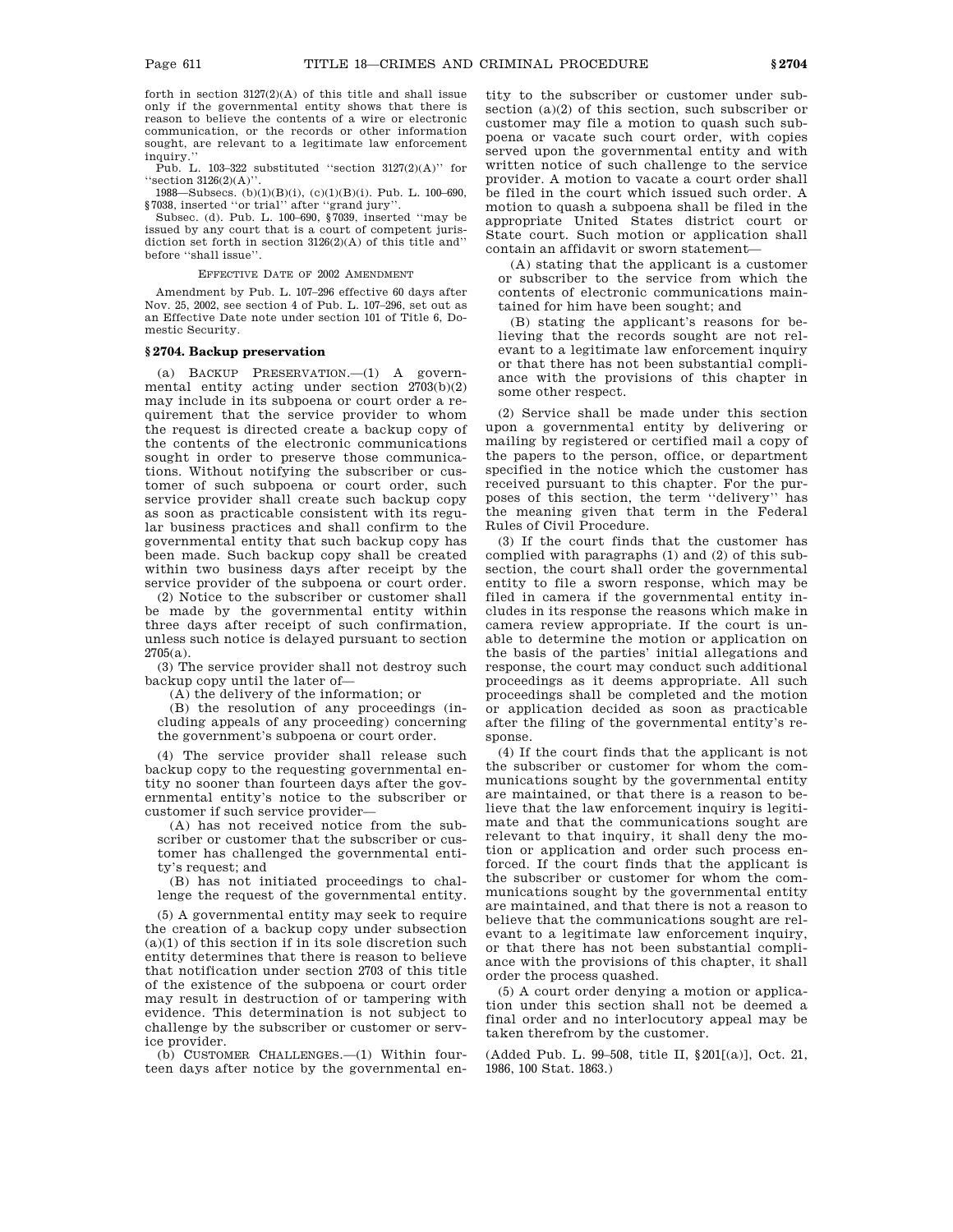forth in section 3127(2)(A) of this title and shall issue only if the governmental entity shows that there is reason to believe the contents of a wire or electronic communication, or the records or other information sought, are relevant to a legitimate law enforcement inquiry.

Pub. L. 103-322 substituted "section  $3127(2)(A)$ " for "section  $3126(2)(A)$ "

1988—Subsecs. (b)(1)(B)(i), (c)(1)(B)(i). Pub. L. 100–690, §7038, inserted "or trial" after "grand jury'

Subsec. (d). Pub. L. 100–690, §7039, inserted ''may be issued by any court that is a court of competent jurisdiction set forth in section 3126(2)(A) of this title and'' before ''shall issue''.

EFFECTIVE DATE OF 2002 AMENDMENT

Amendment by Pub. L. 107–296 effective 60 days after Nov. 25, 2002, see section 4 of Pub. L. 107–296, set out as an Effective Date note under section 101 of Title 6, Domestic Security.

### **§ 2704. Backup preservation**

(a) BACKUP PRESERVATION.—(1) A governmental entity acting under section 2703(b)(2) may include in its subpoena or court order a requirement that the service provider to whom the request is directed create a backup copy of the contents of the electronic communications sought in order to preserve those communications. Without notifying the subscriber or customer of such subpoena or court order, such service provider shall create such backup copy as soon as practicable consistent with its regular business practices and shall confirm to the governmental entity that such backup copy has been made. Such backup copy shall be created within two business days after receipt by the service provider of the subpoena or court order.

(2) Notice to the subscriber or customer shall be made by the governmental entity within three days after receipt of such confirmation, unless such notice is delayed pursuant to section 2705(a).

(3) The service provider shall not destroy such backup copy until the later of—

(A) the delivery of the information; or

(B) the resolution of any proceedings (including appeals of any proceeding) concerning the government's subpoena or court order.

(4) The service provider shall release such backup copy to the requesting governmental entity no sooner than fourteen days after the governmental entity's notice to the subscriber or customer if such service provider—

(A) has not received notice from the subscriber or customer that the subscriber or customer has challenged the governmental entity's request; and

(B) has not initiated proceedings to challenge the request of the governmental entity.

(5) A governmental entity may seek to require the creation of a backup copy under subsection  $(a)(1)$  of this section if in its sole discretion such entity determines that there is reason to believe that notification under section 2703 of this title of the existence of the subpoena or court order may result in destruction of or tampering with evidence. This determination is not subject to challenge by the subscriber or customer or service provider.

(b) CUSTOMER CHALLENGES.—(1) Within fourteen days after notice by the governmental entity to the subscriber or customer under subsection (a)(2) of this section, such subscriber or customer may file a motion to quash such subpoena or vacate such court order, with copies served upon the governmental entity and with written notice of such challenge to the service provider. A motion to vacate a court order shall be filed in the court which issued such order. A motion to quash a subpoena shall be filed in the appropriate United States district court or State court. Such motion or application shall contain an affidavit or sworn statement—

(A) stating that the applicant is a customer or subscriber to the service from which the contents of electronic communications maintained for him have been sought; and

(B) stating the applicant's reasons for believing that the records sought are not relevant to a legitimate law enforcement inquiry or that there has not been substantial compliance with the provisions of this chapter in some other respect.

(2) Service shall be made under this section upon a governmental entity by delivering or mailing by registered or certified mail a copy of the papers to the person, office, or department specified in the notice which the customer has received pursuant to this chapter. For the purposes of this section, the term ''delivery'' has the meaning given that term in the Federal Rules of Civil Procedure.

(3) If the court finds that the customer has complied with paragraphs (1) and (2) of this subsection, the court shall order the governmental entity to file a sworn response, which may be filed in camera if the governmental entity includes in its response the reasons which make in camera review appropriate. If the court is unable to determine the motion or application on the basis of the parties' initial allegations and response, the court may conduct such additional proceedings as it deems appropriate. All such proceedings shall be completed and the motion or application decided as soon as practicable after the filing of the governmental entity's response.

(4) If the court finds that the applicant is not the subscriber or customer for whom the communications sought by the governmental entity are maintained, or that there is a reason to believe that the law enforcement inquiry is legitimate and that the communications sought are relevant to that inquiry, it shall deny the motion or application and order such process enforced. If the court finds that the applicant is the subscriber or customer for whom the communications sought by the governmental entity are maintained, and that there is not a reason to believe that the communications sought are relevant to a legitimate law enforcement inquiry, or that there has not been substantial compliance with the provisions of this chapter, it shall order the process quashed.

(5) A court order denying a motion or application under this section shall not be deemed a final order and no interlocutory appeal may be taken therefrom by the customer.

(Added Pub. L. 99–508, title II, §201[(a)], Oct. 21, 1986, 100 Stat. 1863.)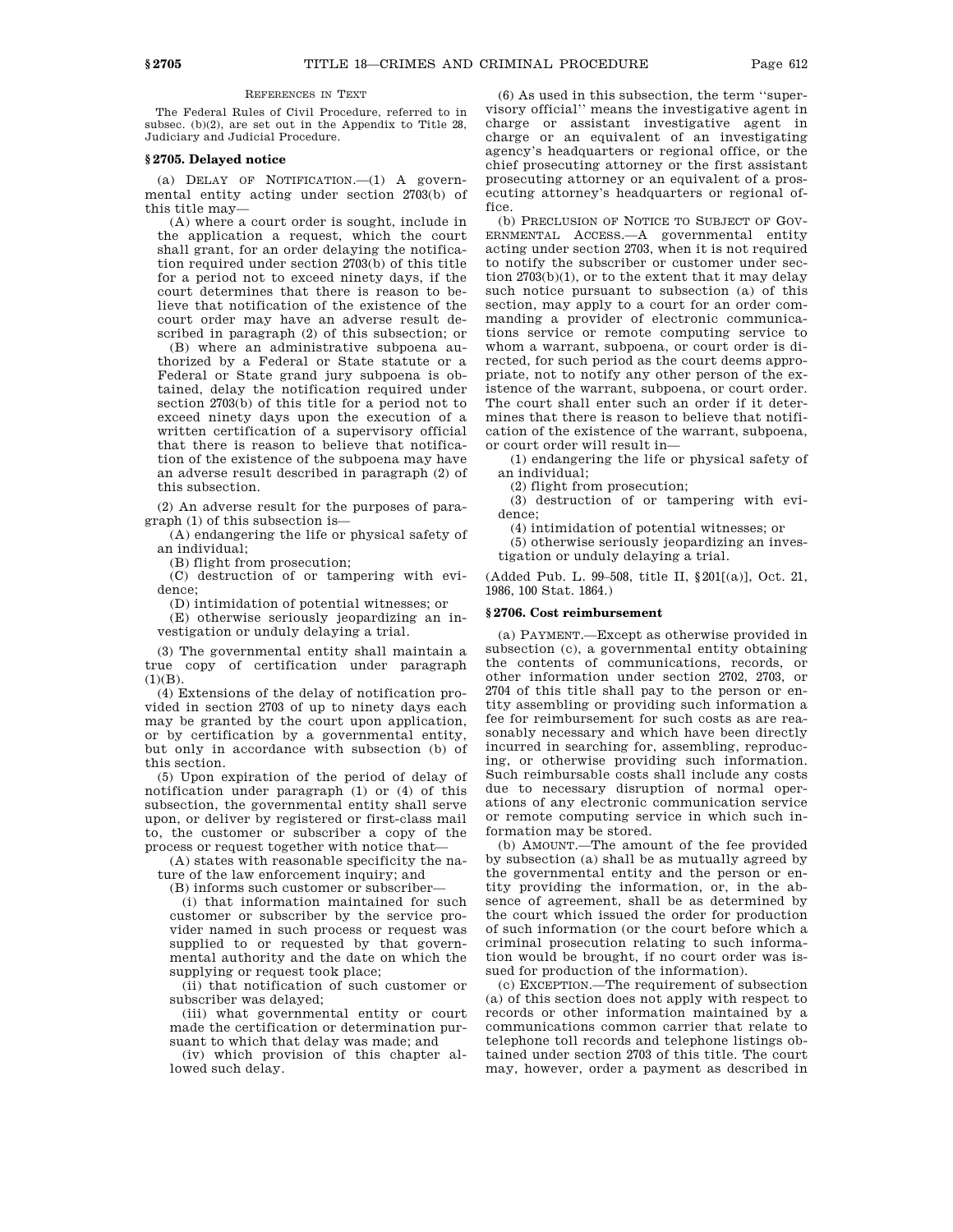### REFERENCES IN TEXT

The Federal Rules of Civil Procedure, referred to in subsec. (b)(2), are set out in the Appendix to Title 28, Judiciary and Judicial Procedure.

## **§ 2705. Delayed notice**

(a) DELAY OF NOTIFICATION.—(1) A governmental entity acting under section 2703(b) of this title may—

(A) where a court order is sought, include in the application a request, which the court shall grant, for an order delaying the notification required under section 2703(b) of this title for a period not to exceed ninety days, if the court determines that there is reason to believe that notification of the existence of the court order may have an adverse result described in paragraph (2) of this subsection; or

(B) where an administrative subpoena authorized by a Federal or State statute or a Federal or State grand jury subpoena is obtained, delay the notification required under section 2703(b) of this title for a period not to exceed ninety days upon the execution of a written certification of a supervisory official that there is reason to believe that notification of the existence of the subpoena may have an adverse result described in paragraph (2) of this subsection.

(2) An adverse result for the purposes of paragraph (1) of this subsection is—

(A) endangering the life or physical safety of an individual;

(B) flight from prosecution;

(C) destruction of or tampering with evidence;

(D) intimidation of potential witnesses; or

(E) otherwise seriously jeopardizing an investigation or unduly delaying a trial.

(3) The governmental entity shall maintain a true copy of certification under paragraph  $(1)(B)$ .

(4) Extensions of the delay of notification provided in section 2703 of up to ninety days each may be granted by the court upon application, or by certification by a governmental entity, but only in accordance with subsection (b) of this section.

(5) Upon expiration of the period of delay of notification under paragraph (1) or (4) of this subsection, the governmental entity shall serve upon, or deliver by registered or first-class mail to, the customer or subscriber a copy of the process or request together with notice that—

(A) states with reasonable specificity the nature of the law enforcement inquiry; and

(B) informs such customer or subscriber—

(i) that information maintained for such customer or subscriber by the service provider named in such process or request was supplied to or requested by that governmental authority and the date on which the supplying or request took place;

(ii) that notification of such customer or subscriber was delayed;

(iii) what governmental entity or court made the certification or determination pursuant to which that delay was made; and

(iv) which provision of this chapter allowed such delay.

(6) As used in this subsection, the term ''supervisory official'' means the investigative agent in charge or assistant investigative agent in charge or an equivalent of an investigating agency's headquarters or regional office, or the chief prosecuting attorney or the first assistant prosecuting attorney or an equivalent of a prosecuting attorney's headquarters or regional office.

(b) PRECLUSION OF NOTICE TO SUBJECT OF GOV-ERNMENTAL ACCESS.—A governmental entity acting under section 2703, when it is not required to notify the subscriber or customer under section 2703(b)(1), or to the extent that it may delay such notice pursuant to subsection (a) of this section, may apply to a court for an order commanding a provider of electronic communications service or remote computing service to whom a warrant, subpoena, or court order is directed, for such period as the court deems appropriate, not to notify any other person of the existence of the warrant, subpoena, or court order. The court shall enter such an order if it determines that there is reason to believe that notification of the existence of the warrant, subpoena, or court order will result in—

(1) endangering the life or physical safety of an individual;

(2) flight from prosecution;

(3) destruction of or tampering with evidence;

(4) intimidation of potential witnesses; or

(5) otherwise seriously jeopardizing an investigation or unduly delaying a trial.

(Added Pub. L. 99–508, title II, §201[(a)], Oct. 21, 1986, 100 Stat. 1864.)

## **§ 2706. Cost reimbursement**

(a) PAYMENT.—Except as otherwise provided in subsection (c), a governmental entity obtaining the contents of communications, records, or other information under section 2702, 2703, or 2704 of this title shall pay to the person or entity assembling or providing such information a fee for reimbursement for such costs as are reasonably necessary and which have been directly incurred in searching for, assembling, reproducing, or otherwise providing such information. Such reimbursable costs shall include any costs due to necessary disruption of normal operations of any electronic communication service or remote computing service in which such information may be stored.

(b) AMOUNT.—The amount of the fee provided by subsection (a) shall be as mutually agreed by the governmental entity and the person or entity providing the information, or, in the absence of agreement, shall be as determined by the court which issued the order for production of such information (or the court before which a criminal prosecution relating to such information would be brought, if no court order was issued for production of the information).

(c) EXCEPTION.—The requirement of subsection (a) of this section does not apply with respect to records or other information maintained by a communications common carrier that relate to telephone toll records and telephone listings obtained under section 2703 of this title. The court may, however, order a payment as described in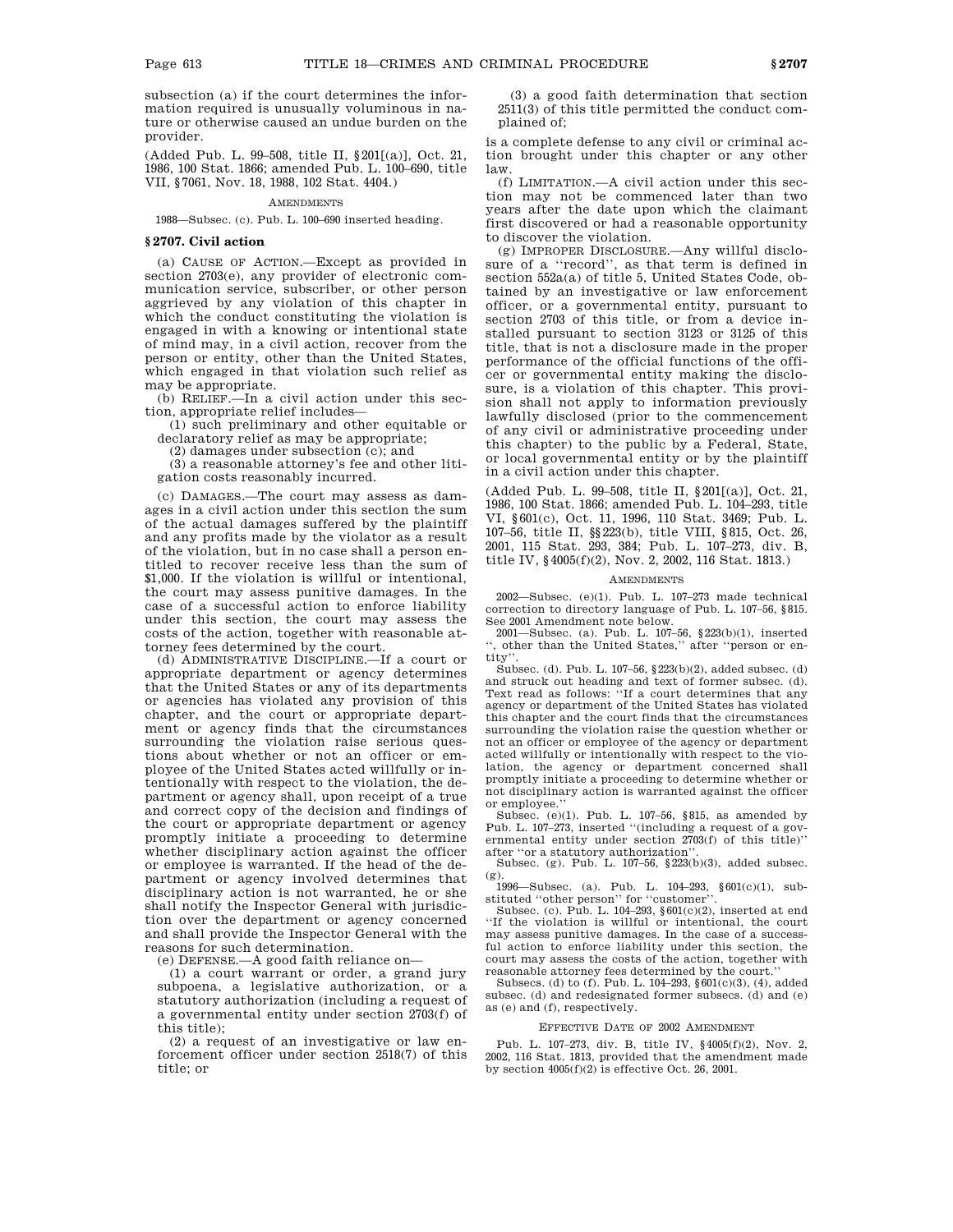subsection (a) if the court determines the information required is unusually voluminous in nature or otherwise caused an undue burden on the provider.

(Added Pub. L. 99–508, title II, §201[(a)], Oct. 21, 1986, 100 Stat. 1866; amended Pub. L. 100–690, title VII, §7061, Nov. 18, 1988, 102 Stat. 4404.)

### AMENDMENTS

1988—Subsec. (c). Pub. L. 100–690 inserted heading.

## **§ 2707. Civil action**

(a) CAUSE OF ACTION.—Except as provided in section 2703(e), any provider of electronic communication service, subscriber, or other person aggrieved by any violation of this chapter in which the conduct constituting the violation is engaged in with a knowing or intentional state of mind may, in a civil action, recover from the person or entity, other than the United States, which engaged in that violation such relief as may be appropriate.

(b) RELIEF.—In a civil action under this section, appropriate relief includes—

(1) such preliminary and other equitable or declaratory relief as may be appropriate;

 $(2)$  damages under subsection  $(c)$ ; and

(3) a reasonable attorney's fee and other litigation costs reasonably incurred.

(c) DAMAGES.—The court may assess as damages in a civil action under this section the sum of the actual damages suffered by the plaintiff and any profits made by the violator as a result of the violation, but in no case shall a person entitled to recover receive less than the sum of \$1,000. If the violation is willful or intentional, the court may assess punitive damages. In the case of a successful action to enforce liability under this section, the court may assess the costs of the action, together with reasonable attorney fees determined by the court.

(d) ADMINISTRATIVE DISCIPLINE.—If a court or appropriate department or agency determines that the United States or any of its departments or agencies has violated any provision of this chapter, and the court or appropriate department or agency finds that the circumstances surrounding the violation raise serious questions about whether or not an officer or employee of the United States acted willfully or intentionally with respect to the violation, the department or agency shall, upon receipt of a true and correct copy of the decision and findings of the court or appropriate department or agency promptly initiate a proceeding to determine whether disciplinary action against the officer or employee is warranted. If the head of the department or agency involved determines that disciplinary action is not warranted, he or she shall notify the Inspector General with jurisdiction over the department or agency concerned and shall provide the Inspector General with the reasons for such determination.

(e) DEFENSE.—A good faith reliance on—

(1) a court warrant or order, a grand jury subpoena, a legislative authorization, or a statutory authorization (including a request of a governmental entity under section 2703(f) of this title);

(2) a request of an investigative or law enforcement officer under section 2518(7) of this title; or

(3) a good faith determination that section 2511(3) of this title permitted the conduct complained of;

is a complete defense to any civil or criminal action brought under this chapter or any other law.

(f) LIMITATION.—A civil action under this section may not be commenced later than two years after the date upon which the claimant first discovered or had a reasonable opportunity to discover the violation.

(g) IMPROPER DISCLOSURE.—Any willful disclosure of a "record", as that term is defined in section 552a(a) of title 5, United States Code, obtained by an investigative or law enforcement officer, or a governmental entity, pursuant to section 2703 of this title, or from a device installed pursuant to section 3123 or 3125 of this title, that is not a disclosure made in the proper performance of the official functions of the officer or governmental entity making the disclosure, is a violation of this chapter. This provision shall not apply to information previously lawfully disclosed (prior to the commencement of any civil or administrative proceeding under this chapter) to the public by a Federal, State, or local governmental entity or by the plaintiff in a civil action under this chapter.

(Added Pub. L. 99–508, title II, §201[(a)], Oct. 21, 1986, 100 Stat. 1866; amended Pub. L. 104–293, title VI, §601(c), Oct. 11, 1996, 110 Stat. 3469; Pub. L. 107–56, title II, §§223(b), title VIII, §815, Oct. 26, 2001, 115 Stat. 293, 384; Pub. L. 107–273, div. B, title IV, §4005(f)(2), Nov. 2, 2002, 116 Stat. 1813.)

### AMENDMENTS

2002—Subsec. (e)(1). Pub. L. 107–273 made technical correction to directory language of Pub. L. 107–56, §815.

See 2001 Amendment note below. 2001—Subsec. (a). Pub. L. 107–56, §223(b)(1), inserted , other than the United States," after "person or entity'

Subsec. (d). Pub. L. 107–56, §223(b)(2), added subsec. (d) and struck out heading and text of former subsec. (d). Text read as follows: "If a court determines that any agency or department of the United States has violated this chapter and the court finds that the circumstances surrounding the violation raise the question whether or not an officer or employee of the agency or department acted willfully or intentionally with respect to the violation, the agency or department concerned shall promptly initiate a proceeding to determine whether or not disciplinary action is warranted against the officer or employee.''

Subsec. (e)(1). Pub. L. 107–56, §815, as amended by Pub. L. 107–273, inserted ''(including a request of a governmental entity under section 2703(f) of this title)'' after ''or a statutory authorization''.

Subsec. (g). Pub. L. 107–56, §223(b)(3), added subsec.

(g). 1996—Subsec. (a). Pub. L. 104–293, §601(c)(1), substituted ''other person'' for ''customer''.

Subsec. (c). Pub. L. 104–293, §601(c)(2), inserted at end ''If the violation is willful or intentional, the court may assess punitive damages. In the case of a successful action to enforce liability under this section, the court may assess the costs of the action, together with reasonable attorney fees determined by the court.''

Subsecs. (d) to (f). Pub. L. 104–293, §601(c)(3), (4), added subsec. (d) and redesignated former subsecs. (d) and (e) as (e) and (f), respectively.

#### EFFECTIVE DATE OF 2002 AMENDMENT

Pub. L. 107–273, div. B, title IV, §4005(f)(2), Nov. 2, 2002, 116 Stat. 1813, provided that the amendment made by section  $4005(f)(2)$  is effective Oct. 26, 2001.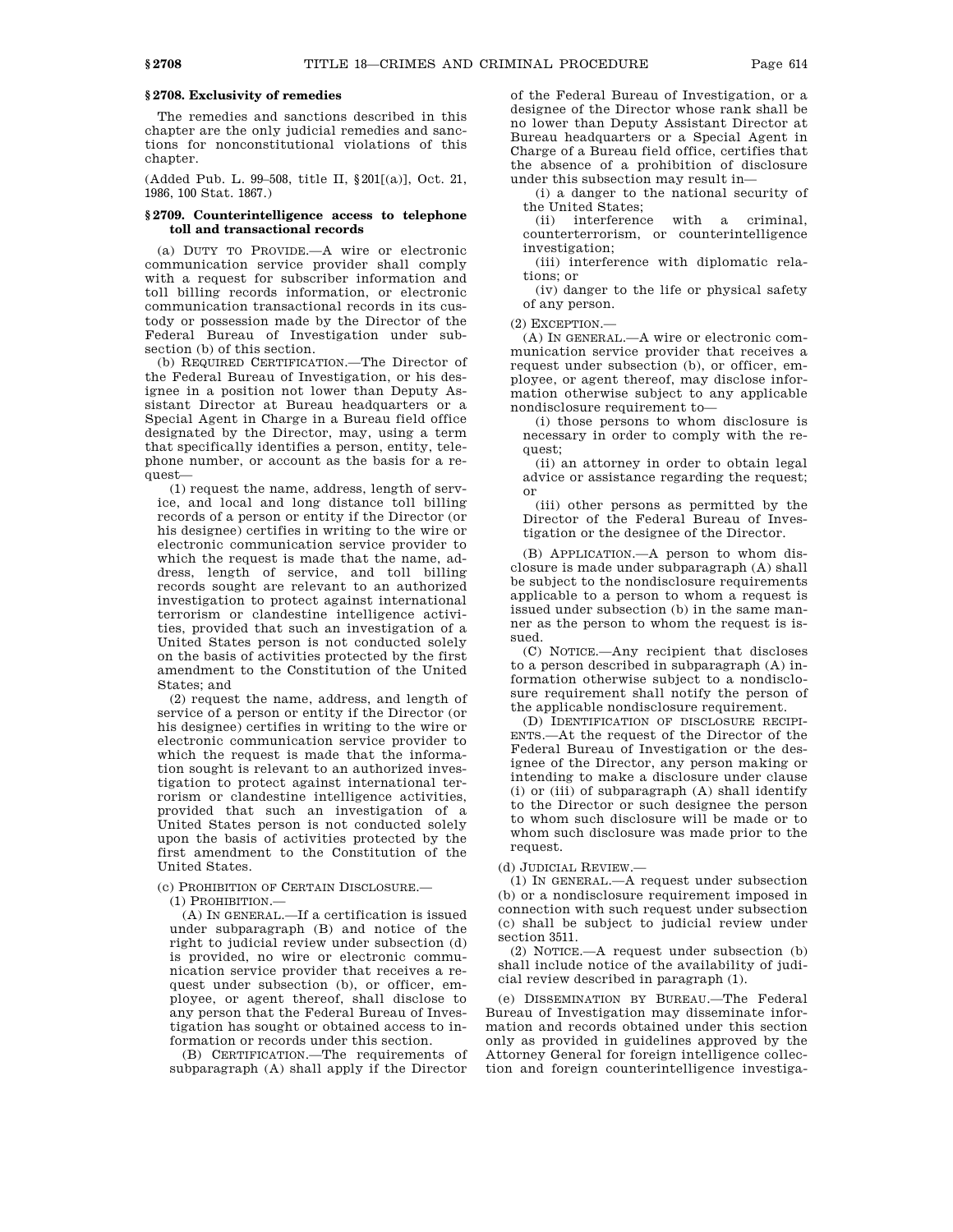## **§ 2708. Exclusivity of remedies**

The remedies and sanctions described in this chapter are the only judicial remedies and sanctions for nonconstitutional violations of this chapter.

(Added Pub. L. 99–508, title II, §201[(a)], Oct. 21, 1986, 100 Stat. 1867.)

## **§ 2709. Counterintelligence access to telephone toll and transactional records**

(a) DUTY TO PROVIDE.—A wire or electronic communication service provider shall comply with a request for subscriber information and toll billing records information, or electronic communication transactional records in its custody or possession made by the Director of the Federal Bureau of Investigation under subsection (b) of this section.

(b) REQUIRED CERTIFICATION.—The Director of the Federal Bureau of Investigation, or his designee in a position not lower than Deputy Assistant Director at Bureau headquarters or a Special Agent in Charge in a Bureau field office designated by the Director, may, using a term that specifically identifies a person, entity, telephone number, or account as the basis for a request—

(1) request the name, address, length of service, and local and long distance toll billing records of a person or entity if the Director (or his designee) certifies in writing to the wire or electronic communication service provider to which the request is made that the name, address, length of service, and toll billing records sought are relevant to an authorized investigation to protect against international terrorism or clandestine intelligence activities, provided that such an investigation of a United States person is not conducted solely on the basis of activities protected by the first amendment to the Constitution of the United States; and

(2) request the name, address, and length of service of a person or entity if the Director (or his designee) certifies in writing to the wire or electronic communication service provider to which the request is made that the information sought is relevant to an authorized investigation to protect against international terrorism or clandestine intelligence activities, provided that such an investigation of a United States person is not conducted solely upon the basis of activities protected by the first amendment to the Constitution of the United States.

(c) PROHIBITION OF CERTAIN DISCLOSURE.—

(1) PROHIBITION.—

(A) IN GENERAL.—If a certification is issued under subparagraph (B) and notice of the right to judicial review under subsection (d) is provided, no wire or electronic communication service provider that receives a request under subsection (b), or officer, employee, or agent thereof, shall disclose to any person that the Federal Bureau of Investigation has sought or obtained access to information or records under this section.

(B) CERTIFICATION.—The requirements of subparagraph (A) shall apply if the Director of the Federal Bureau of Investigation, or a designee of the Director whose rank shall be no lower than Deputy Assistant Director at Bureau headquarters or a Special Agent in Charge of a Bureau field office, certifies that the absence of a prohibition of disclosure under this subsection may result in—

(i) a danger to the national security of the United States;

with a criminal, counterterrorism, or counterintelligence investigation;

(iii) interference with diplomatic relations; or

(iv) danger to the life or physical safety of any person.

(2) EXCEPTION.—

(A) IN GENERAL.—A wire or electronic communication service provider that receives a request under subsection (b), or officer, employee, or agent thereof, may disclose information otherwise subject to any applicable nondisclosure requirement to—

(i) those persons to whom disclosure is necessary in order to comply with the request;

(ii) an attorney in order to obtain legal advice or assistance regarding the request; or

(iii) other persons as permitted by the Director of the Federal Bureau of Investigation or the designee of the Director.

(B) APPLICATION.—A person to whom disclosure is made under subparagraph (A) shall be subject to the nondisclosure requirements applicable to a person to whom a request is issued under subsection (b) in the same manner as the person to whom the request is issued.

(C) NOTICE.—Any recipient that discloses to a person described in subparagraph (A) information otherwise subject to a nondisclosure requirement shall notify the person of the applicable nondisclosure requirement.

(D) IDENTIFICATION OF DISCLOSURE RECIPI-ENTS.—At the request of the Director of the Federal Bureau of Investigation or the designee of the Director, any person making or intending to make a disclosure under clause (i) or (iii) of subparagraph (A) shall identify to the Director or such designee the person to whom such disclosure will be made or to whom such disclosure was made prior to the request.

(d) JUDICIAL REVIEW.—

(1) IN GENERAL.—A request under subsection (b) or a nondisclosure requirement imposed in connection with such request under subsection (c) shall be subject to judicial review under section 3511.

(2) NOTICE.—A request under subsection (b) shall include notice of the availability of judicial review described in paragraph (1).

(e) DISSEMINATION BY BUREAU.—The Federal Bureau of Investigation may disseminate information and records obtained under this section only as provided in guidelines approved by the Attorney General for foreign intelligence collection and foreign counterintelligence investiga-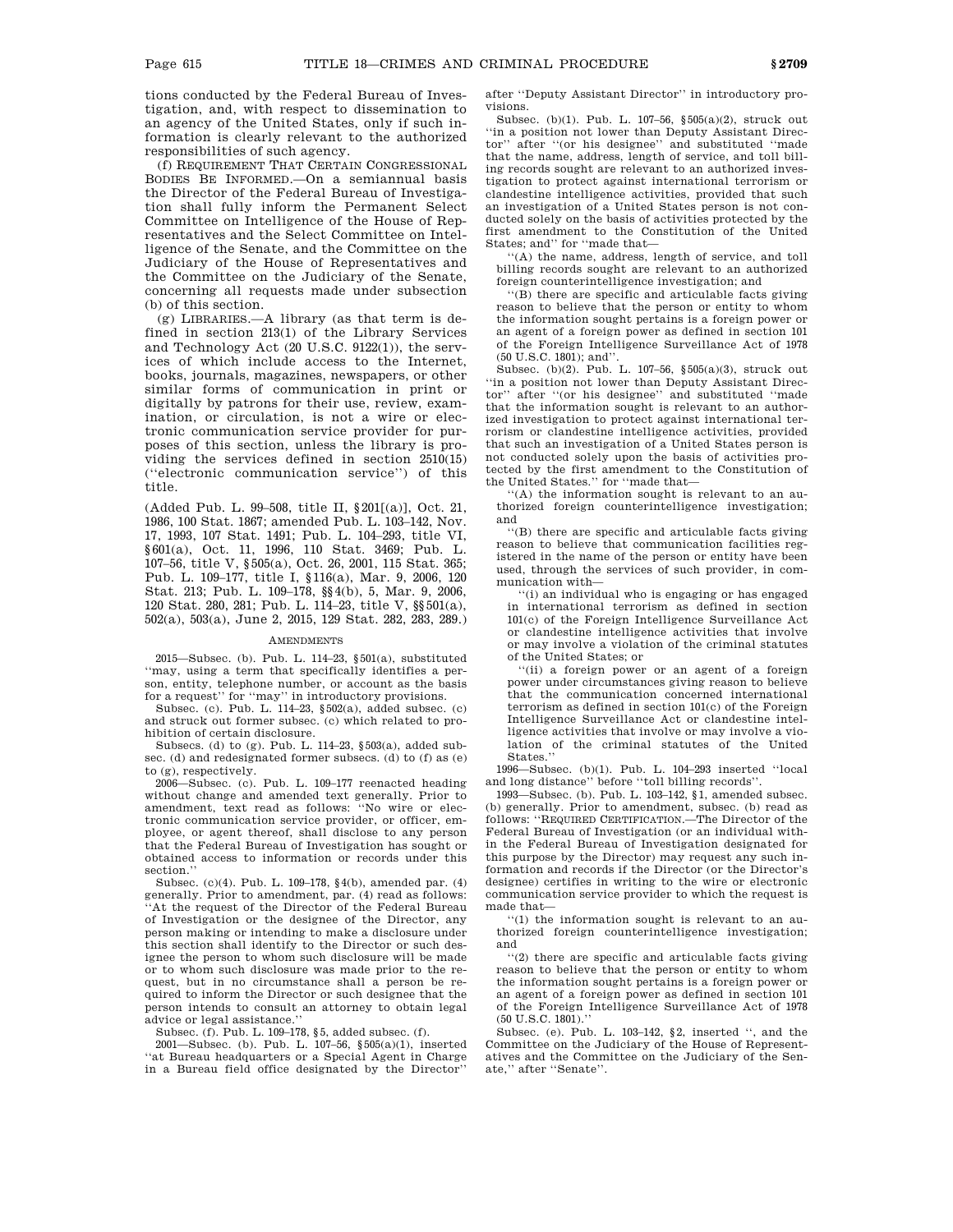tions conducted by the Federal Bureau of Investigation, and, with respect to dissemination to an agency of the United States, only if such information is clearly relevant to the authorized responsibilities of such agency.

(f) REQUIREMENT THAT CERTAIN CONGRESSIONAL BODIES BE INFORMED.—On a semiannual basis the Director of the Federal Bureau of Investigation shall fully inform the Permanent Select Committee on Intelligence of the House of Representatives and the Select Committee on Intelligence of the Senate, and the Committee on the Judiciary of the House of Representatives and the Committee on the Judiciary of the Senate, concerning all requests made under subsection (b) of this section.

(g) LIBRARIES.—A library (as that term is defined in section 213(1) of the Library Services and Technology Act (20 U.S.C. 9122(1)), the services of which include access to the Internet, books, journals, magazines, newspapers, or other similar forms of communication in print or digitally by patrons for their use, review, examination, or circulation, is not a wire or electronic communication service provider for purposes of this section, unless the library is providing the services defined in section 2510(15) (''electronic communication service'') of this title.

(Added Pub. L. 99–508, title II, §201[(a)], Oct. 21, 1986, 100 Stat. 1867; amended Pub. L. 103–142, Nov. 17, 1993, 107 Stat. 1491; Pub. L. 104–293, title VI, §601(a), Oct. 11, 1996, 110 Stat. 3469; Pub. L. 107–56, title V, §505(a), Oct. 26, 2001, 115 Stat. 365; Pub. L. 109–177, title I, §116(a), Mar. 9, 2006, 120 Stat. 213; Pub. L. 109–178, §§4(b), 5, Mar. 9, 2006, 120 Stat. 280, 281; Pub. L. 114–23, title V, §§501(a), 502(a), 503(a), June 2, 2015, 129 Stat. 282, 283, 289.)

### **AMENDMENTS**

2015—Subsec. (b). Pub. L. 114–23, §501(a), substituted ''may, using a term that specifically identifies a person, entity, telephone number, or account as the basis for a request'' for ''may'' in introductory provisions.

Subsec. (c). Pub. L. 114–23, §502(a), added subsec. (c) and struck out former subsec. (c) which related to prohibition of certain disclosure.

Subsecs. (d) to (g). Pub. L. 114–23, §503(a), added subsec. (d) and redesignated former subsecs. (d) to (f) as (e) to (g), respectively.

2006—Subsec. (c). Pub. L. 109–177 reenacted heading without change and amended text generally. Prior to amendment, text read as follows: ''No wire or electronic communication service provider, or officer, employee, or agent thereof, shall disclose to any person that the Federal Bureau of Investigation has sought or obtained access to information or records under this section.''

Subsec. (c)(4). Pub. L. 109–178, §4(b), amended par. (4) generally. Prior to amendment, par. (4) read as follows: ''At the request of the Director of the Federal Bureau of Investigation or the designee of the Director, any person making or intending to make a disclosure under this section shall identify to the Director or such designee the person to whom such disclosure will be made or to whom such disclosure was made prior to the request, but in no circumstance shall a person be required to inform the Director or such designee that the person intends to consult an attorney to obtain legal advice or legal assistance.

Subsec. (f). Pub. L. 109–178, §5, added subsec. (f).

2001—Subsec. (b). Pub. L. 107–56, §505(a)(1), inserted ''at Bureau headquarters or a Special Agent in Charge in a Bureau field office designated by the Director''

after ''Deputy Assistant Director'' in introductory provisions.

Subsec. (b)(1). Pub. L. 107–56, §505(a)(2), struck out ''in a position not lower than Deputy Assistant Director'' after ''(or his designee'' and substituted ''made that the name, address, length of service, and toll billing records sought are relevant to an authorized investigation to protect against international terrorism or clandestine intelligence activities, provided that such an investigation of a United States person is not conducted solely on the basis of activities protected by the first amendment to the Constitution of the United States; and'' for ''made that—

''(A) the name, address, length of service, and toll billing records sought are relevant to an authorized foreign counterintelligence investigation; and

''(B) there are specific and articulable facts giving reason to believe that the person or entity to whom the information sought pertains is a foreign power or an agent of a foreign power as defined in section 101 of the Foreign Intelligence Surveillance Act of 1978 (50 U.S.C. 1801); and''.

Subsec. (b)(2). Pub. L. 107–56, §505(a)(3), struck out ''in a position not lower than Deputy Assistant Director'' after ''(or his designee'' and substituted ''made that the information sought is relevant to an authorized investigation to protect against international terrorism or clandestine intelligence activities, provided that such an investigation of a United States person is not conducted solely upon the basis of activities protected by the first amendment to the Constitution of the United States.'' for ''made that—

''(A) the information sought is relevant to an authorized foreign counterintelligence investigation; and

''(B) there are specific and articulable facts giving reason to believe that communication facilities registered in the name of the person or entity have been used, through the services of such provider, in communication with—

''(i) an individual who is engaging or has engaged in international terrorism as defined in section 101(c) of the Foreign Intelligence Surveillance Act or clandestine intelligence activities that involve or may involve a violation of the criminal statutes of the United States; or

''(ii) a foreign power or an agent of a foreign power under circumstances giving reason to believe that the communication concerned international terrorism as defined in section 101(c) of the Foreign Intelligence Surveillance Act or clandestine intelligence activities that involve or may involve a violation of the criminal statutes of the United States.''

1996—Subsec. (b)(1). Pub. L. 104–293 inserted ''local and long distance'' before ''toll billing records''.

1993—Subsec. (b). Pub. L. 103–142, §1, amended subsec. (b) generally. Prior to amendment, subsec. (b) read as follows: ''REQUIRED CERTIFICATION.—The Director of the Federal Bureau of Investigation (or an individual within the Federal Bureau of Investigation designated for this purpose by the Director) may request any such information and records if the Director (or the Director's designee) certifies in writing to the wire or electronic communication service provider to which the request is made that—

''(1) the information sought is relevant to an authorized foreign counterintelligence investigation; and

''(2) there are specific and articulable facts giving reason to believe that the person or entity to whom the information sought pertains is a foreign power or an agent of a foreign power as defined in section 101 of the Foreign Intelligence Surveillance Act of 1978  $(50 \text{ U.S.C. } 1801).$ 

Subsec. (e). Pub. L. 103–142, §2, inserted '', and the Committee on the Judiciary of the House of Representatives and the Committee on the Judiciary of the Senate,'' after ''Senate''.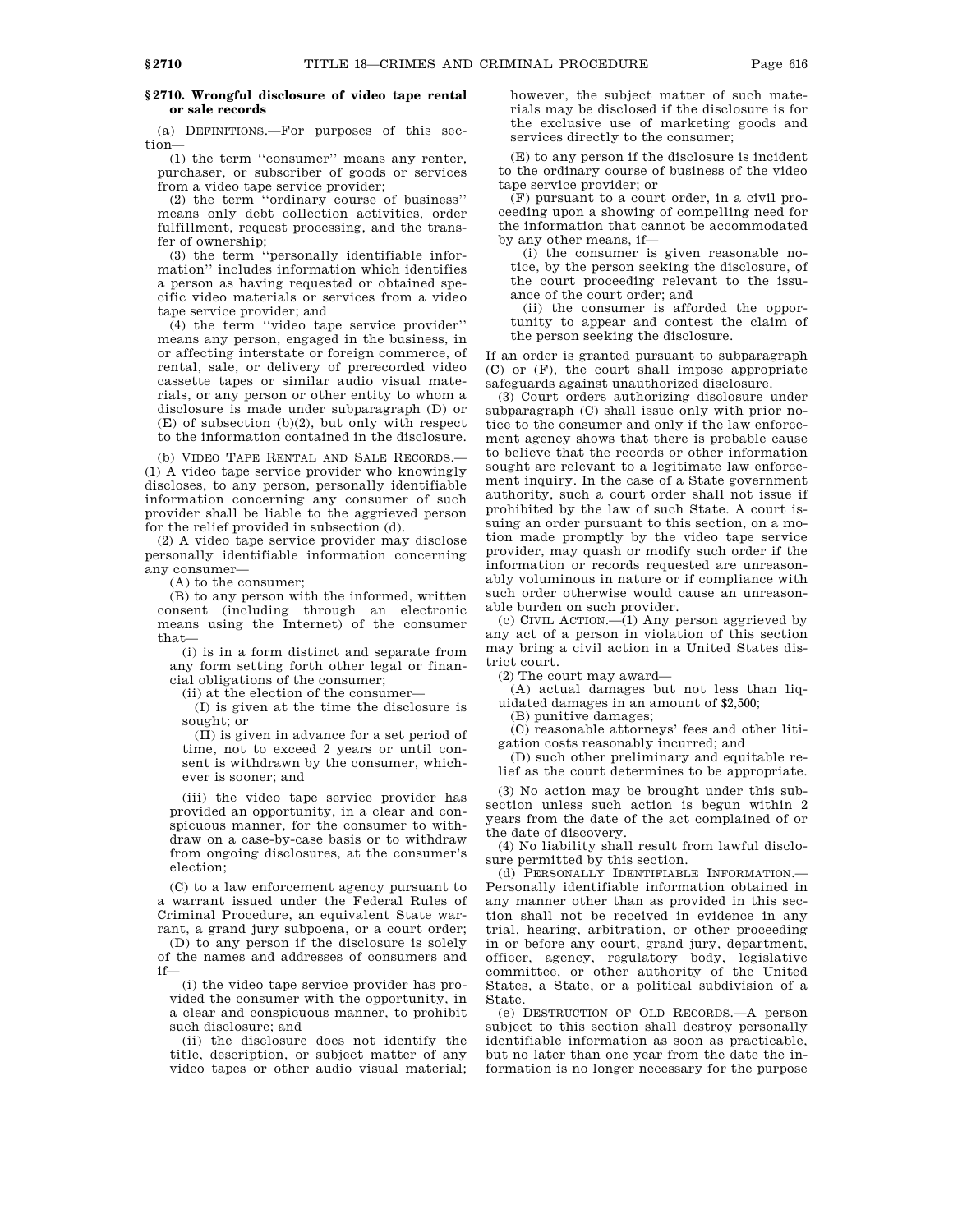## **§ 2710. Wrongful disclosure of video tape rental or sale records**

(a) DEFINITIONS.—For purposes of this section—

(1) the term ''consumer'' means any renter, purchaser, or subscriber of goods or services from a video tape service provider;

(2) the term ''ordinary course of business'' means only debt collection activities, order fulfillment, request processing, and the transfer of ownership;

(3) the term ''personally identifiable information'' includes information which identifies a person as having requested or obtained specific video materials or services from a video tape service provider; and

(4) the term ''video tape service provider'' means any person, engaged in the business, in or affecting interstate or foreign commerce, of rental, sale, or delivery of prerecorded video cassette tapes or similar audio visual materials, or any person or other entity to whom a disclosure is made under subparagraph (D) or  $(E)$  of subsection  $(b)(2)$ , but only with respect to the information contained in the disclosure.

(b) VIDEO TAPE RENTAL AND SALE RECORDS.— (1) A video tape service provider who knowingly discloses, to any person, personally identifiable information concerning any consumer of such provider shall be liable to the aggrieved person for the relief provided in subsection (d).

(2) A video tape service provider may disclose personally identifiable information concerning any consumer—

(A) to the consumer;

(B) to any person with the informed, written consent (including through an electronic means using the Internet) of the consumer that—

(i) is in a form distinct and separate from any form setting forth other legal or financial obligations of the consumer;

(ii) at the election of the consumer—

(I) is given at the time the disclosure is sought; or

(II) is given in advance for a set period of time, not to exceed 2 years or until consent is withdrawn by the consumer, whichever is sooner; and

(iii) the video tape service provider has provided an opportunity, in a clear and conspicuous manner, for the consumer to withdraw on a case-by-case basis or to withdraw from ongoing disclosures, at the consumer's election;

(C) to a law enforcement agency pursuant to a warrant issued under the Federal Rules of Criminal Procedure, an equivalent State warrant, a grand jury subpoena, or a court order;

(D) to any person if the disclosure is solely of the names and addresses of consumers and if—

(i) the video tape service provider has provided the consumer with the opportunity, in a clear and conspicuous manner, to prohibit such disclosure; and

(ii) the disclosure does not identify the title, description, or subject matter of any video tapes or other audio visual material; however, the subject matter of such materials may be disclosed if the disclosure is for the exclusive use of marketing goods and services directly to the consumer;

(E) to any person if the disclosure is incident to the ordinary course of business of the video tape service provider; or

(F) pursuant to a court order, in a civil proceeding upon a showing of compelling need for the information that cannot be accommodated by any other means, if—

(i) the consumer is given reasonable notice, by the person seeking the disclosure, of the court proceeding relevant to the issuance of the court order; and

(ii) the consumer is afforded the opportunity to appear and contest the claim of the person seeking the disclosure.

If an order is granted pursuant to subparagraph (C) or (F), the court shall impose appropriate safeguards against unauthorized disclosure.

(3) Court orders authorizing disclosure under subparagraph (C) shall issue only with prior notice to the consumer and only if the law enforcement agency shows that there is probable cause to believe that the records or other information sought are relevant to a legitimate law enforcement inquiry. In the case of a State government authority, such a court order shall not issue if prohibited by the law of such State. A court issuing an order pursuant to this section, on a motion made promptly by the video tape service provider, may quash or modify such order if the information or records requested are unreasonably voluminous in nature or if compliance with such order otherwise would cause an unreasonable burden on such provider.

(c) CIVIL ACTION.—(1) Any person aggrieved by any act of a person in violation of this section may bring a civil action in a United States district court.

(2) The court may award—

(A) actual damages but not less than liquidated damages in an amount of \$2,500;

(B) punitive damages;

(C) reasonable attorneys' fees and other litigation costs reasonably incurred; and

(D) such other preliminary and equitable re-

lief as the court determines to be appropriate. (3) No action may be brought under this sub-

section unless such action is begun within 2 years from the date of the act complained of or the date of discovery.

(4) No liability shall result from lawful disclosure permitted by this section.

(d) PERSONALLY IDENTIFIABLE INFORMATION.— Personally identifiable information obtained in any manner other than as provided in this section shall not be received in evidence in any trial, hearing, arbitration, or other proceeding in or before any court, grand jury, department, officer, agency, regulatory body, legislative committee, or other authority of the United States, a State, or a political subdivision of a State.

(e) DESTRUCTION OF OLD RECORDS.—A person subject to this section shall destroy personally identifiable information as soon as practicable, but no later than one year from the date the information is no longer necessary for the purpose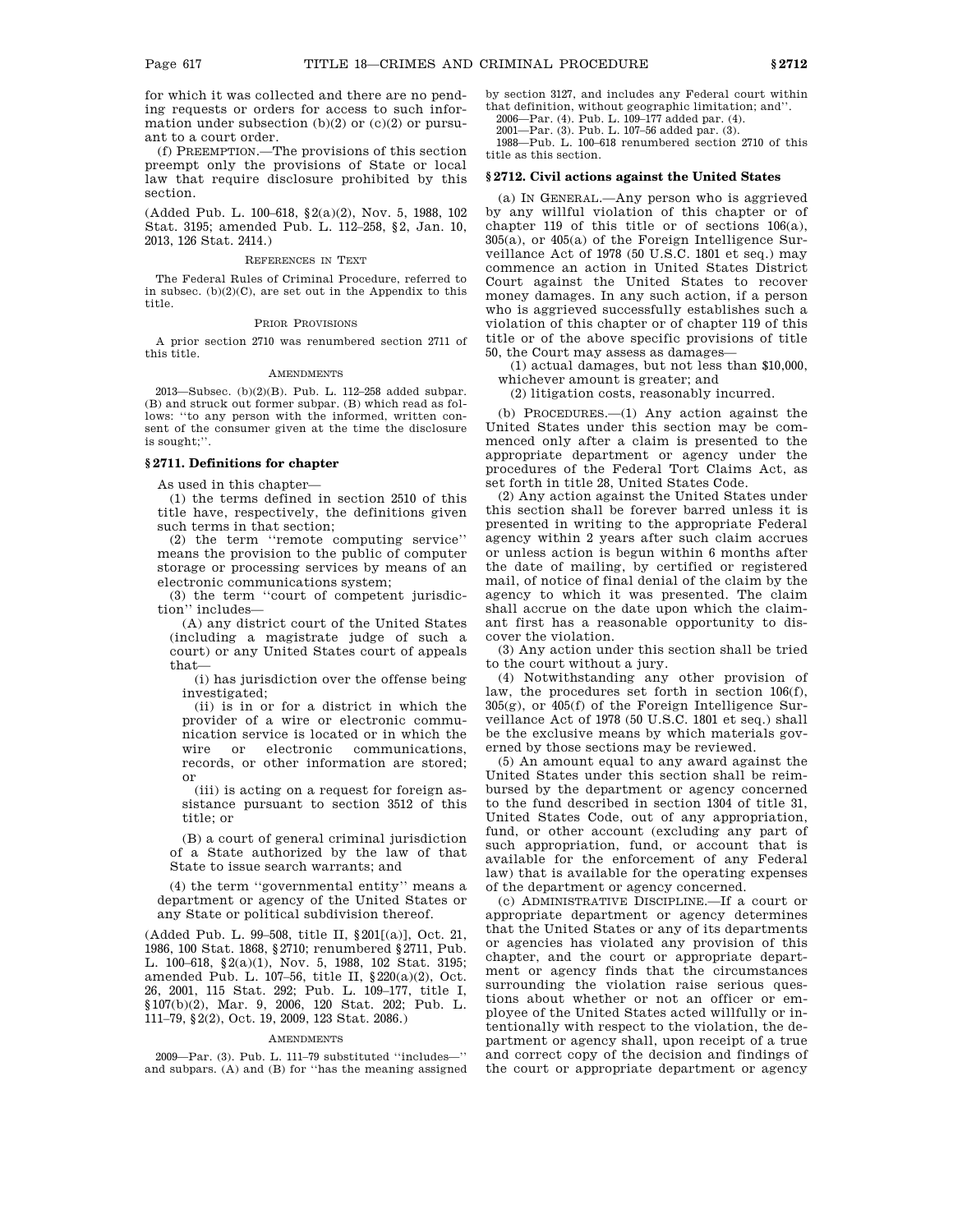for which it was collected and there are no pending requests or orders for access to such information under subsection  $(b)(2)$  or  $(c)(2)$  or pursuant to a court order.

(f) PREEMPTION.—The provisions of this section preempt only the provisions of State or local law that require disclosure prohibited by this section.

(Added Pub. L. 100–618, §2(a)(2), Nov. 5, 1988, 102 Stat. 3195; amended Pub. L. 112–258, §2, Jan. 10, 2013, 126 Stat. 2414.)

#### REFERENCES IN TEXT

The Federal Rules of Criminal Procedure, referred to in subsec. (b)(2)(C), are set out in the Appendix to this title.

### PRIOR PROVISIONS

A prior section 2710 was renumbered section 2711 of this title.

#### AMENDMENTS

2013—Subsec. (b)(2)(B). Pub. L. 112–258 added subpar. (B) and struck out former subpar. (B) which read as follows: ''to any person with the informed, written consent of the consumer given at the time the disclosure is sought;''.

## **§ 2711. Definitions for chapter**

As used in this chapter—

(1) the terms defined in section 2510 of this title have, respectively, the definitions given such terms in that section;

(2) the term ''remote computing service'' means the provision to the public of computer storage or processing services by means of an electronic communications system;

(3) the term ''court of competent jurisdiction'' includes—

(A) any district court of the United States (including a magistrate judge of such a court) or any United States court of appeals that—

(i) has jurisdiction over the offense being investigated;

(ii) is in or for a district in which the provider of a wire or electronic communication service is located or in which the wire or electronic communications, records, or other information are stored; or

(iii) is acting on a request for foreign assistance pursuant to section 3512 of this title; or

(B) a court of general criminal jurisdiction of a State authorized by the law of that State to issue search warrants; and

(4) the term ''governmental entity'' means a department or agency of the United States or any State or political subdivision thereof.

(Added Pub. L. 99–508, title II, §201[(a)], Oct. 21, 1986, 100 Stat. 1868, §2710; renumbered §2711, Pub. L. 100–618, §2(a)(1), Nov. 5, 1988, 102 Stat. 3195; amended Pub. L. 107–56, title II, §220(a)(2), Oct. 26, 2001, 115 Stat. 292; Pub. L. 109–177, title I, §107(b)(2), Mar. 9, 2006, 120 Stat. 202; Pub. L. 111–79, §2(2), Oct. 19, 2009, 123 Stat. 2086.)

#### AMENDMENTS

2009—Par. (3). Pub. L. 111–79 substituted ''includes—'' and subpars. (A) and (B) for ''has the meaning assigned

by section 3127, and includes any Federal court within that definition, without geographic limitation; and''.

2006—Par. (4). Pub. L. 109–177 added par. (4). 2001—Par. (3). Pub. L. 107–56 added par. (3).

1988—Pub. L. 100–618 renumbered section 2710 of this title as this section.

## **§ 2712. Civil actions against the United States**

(a) IN GENERAL.—Any person who is aggrieved by any willful violation of this chapter or of chapter 119 of this title or of sections 106(a), 305(a), or 405(a) of the Foreign Intelligence Surveillance Act of 1978 (50 U.S.C. 1801 et seq.) may commence an action in United States District Court against the United States to recover money damages. In any such action, if a person who is aggrieved successfully establishes such a violation of this chapter or of chapter 119 of this title or of the above specific provisions of title 50, the Court may assess as damages—

(1) actual damages, but not less than \$10,000, whichever amount is greater; and

(2) litigation costs, reasonably incurred.

(b) PROCEDURES.—(1) Any action against the United States under this section may be commenced only after a claim is presented to the appropriate department or agency under the procedures of the Federal Tort Claims Act, as set forth in title 28, United States Code.

(2) Any action against the United States under this section shall be forever barred unless it is presented in writing to the appropriate Federal agency within 2 years after such claim accrues or unless action is begun within 6 months after the date of mailing, by certified or registered mail, of notice of final denial of the claim by the agency to which it was presented. The claim shall accrue on the date upon which the claimant first has a reasonable opportunity to discover the violation.

(3) Any action under this section shall be tried to the court without a jury.

(4) Notwithstanding any other provision of law, the procedures set forth in section 106(f), 305(g), or 405(f) of the Foreign Intelligence Surveillance Act of 1978 (50 U.S.C. 1801 et seq.) shall be the exclusive means by which materials governed by those sections may be reviewed.

(5) An amount equal to any award against the United States under this section shall be reimbursed by the department or agency concerned to the fund described in section 1304 of title 31, United States Code, out of any appropriation, fund, or other account (excluding any part of such appropriation, fund, or account that is available for the enforcement of any Federal law) that is available for the operating expenses of the department or agency concerned.

(c) ADMINISTRATIVE DISCIPLINE.—If a court or appropriate department or agency determines that the United States or any of its departments or agencies has violated any provision of this chapter, and the court or appropriate department or agency finds that the circumstances surrounding the violation raise serious questions about whether or not an officer or employee of the United States acted willfully or intentionally with respect to the violation, the department or agency shall, upon receipt of a true and correct copy of the decision and findings of the court or appropriate department or agency